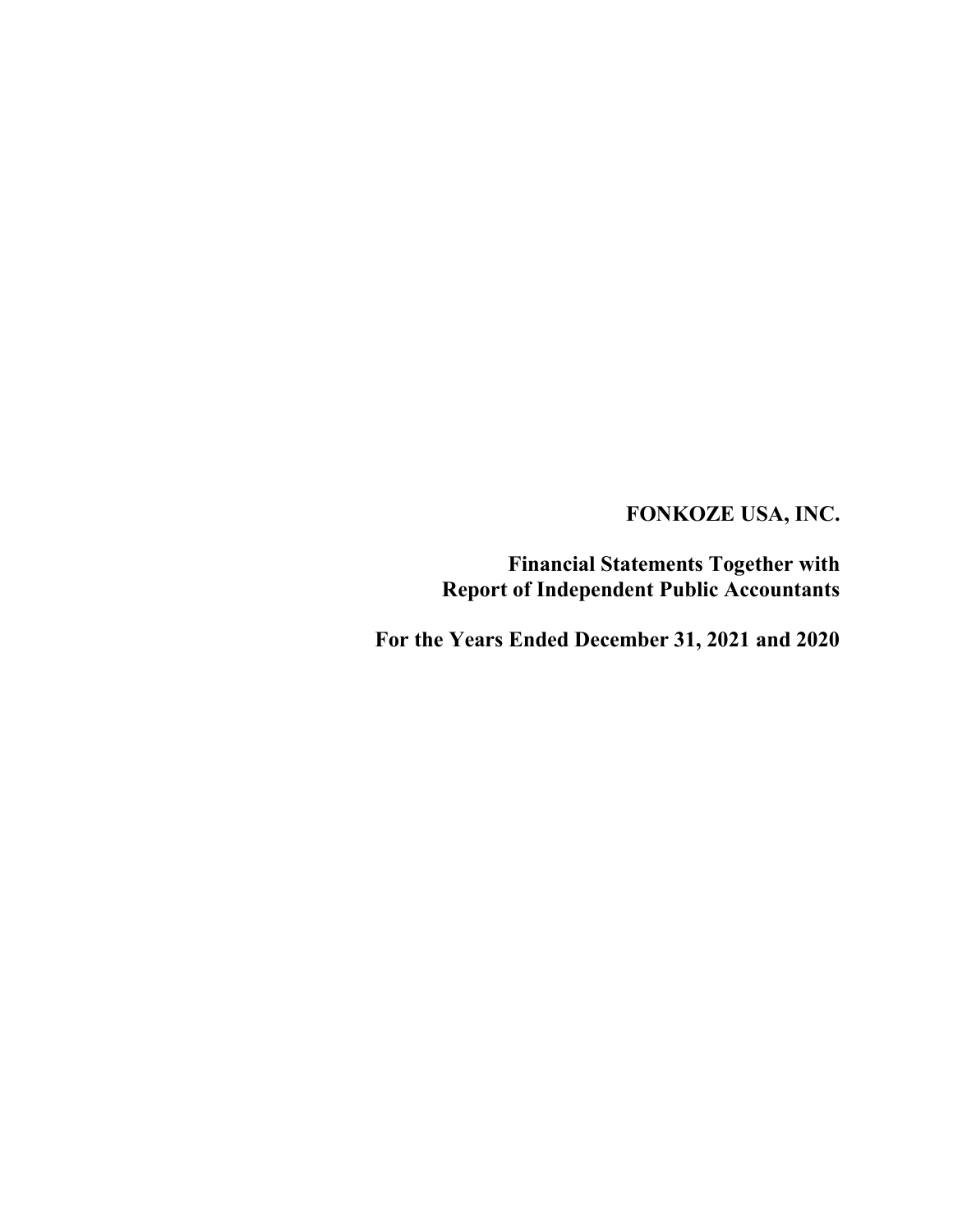Financial Statements Together with Report of Independent Public Accountants

For the Years Ended December 31, 2021 and 2020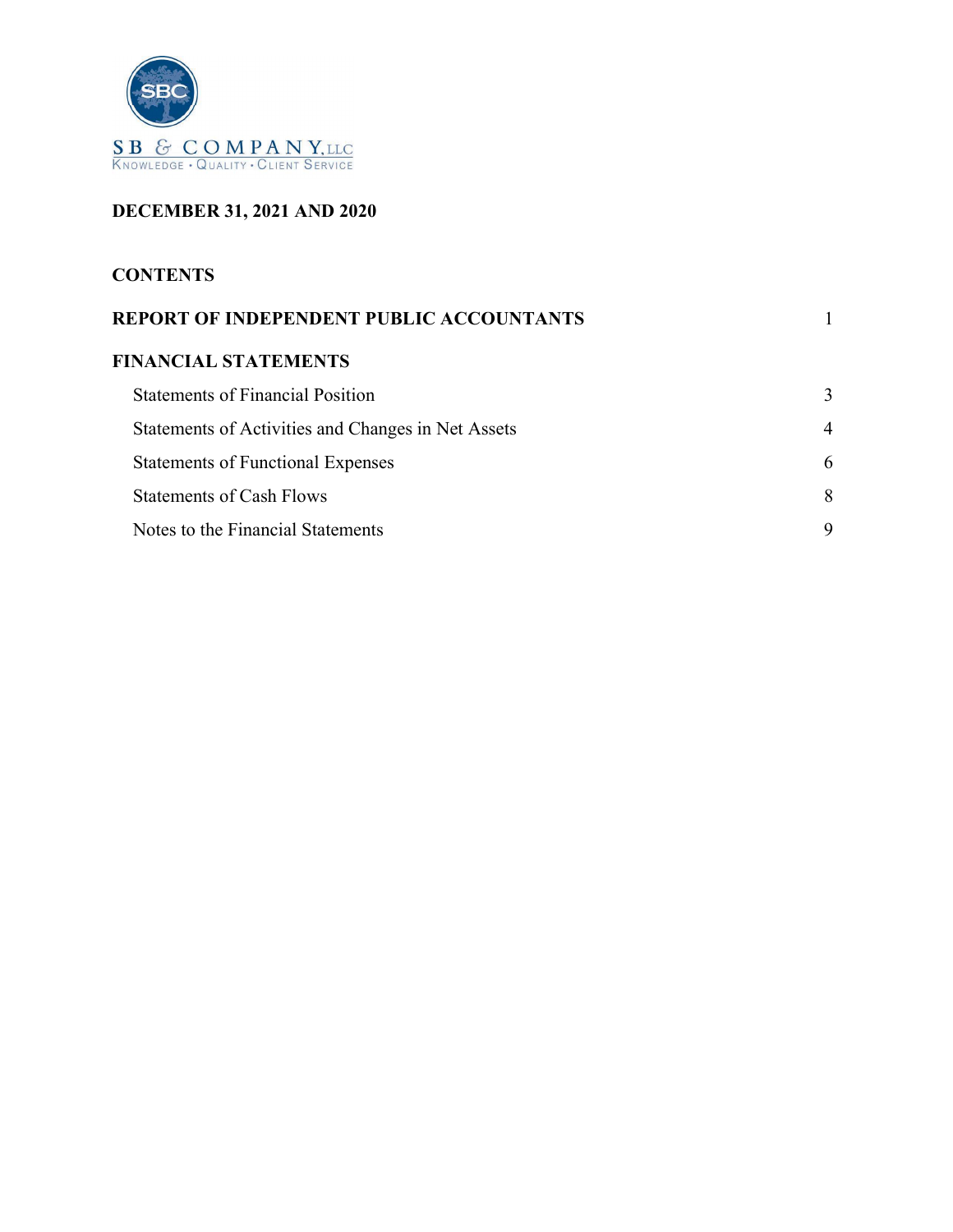

# DECEMBER 31, 2021 AND 2020

## **CONTENTS**

| REPORT OF INDEPENDENT PUBLIC ACCOUNTANTS           |   |
|----------------------------------------------------|---|
| <b>FINANCIAL STATEMENTS</b>                        |   |
| <b>Statements of Financial Position</b>            |   |
| Statements of Activities and Changes in Net Assets | 4 |
| <b>Statements of Functional Expenses</b>           | h |
| <b>Statements of Cash Flows</b>                    | 8 |
| Notes to the Financial Statements                  | Q |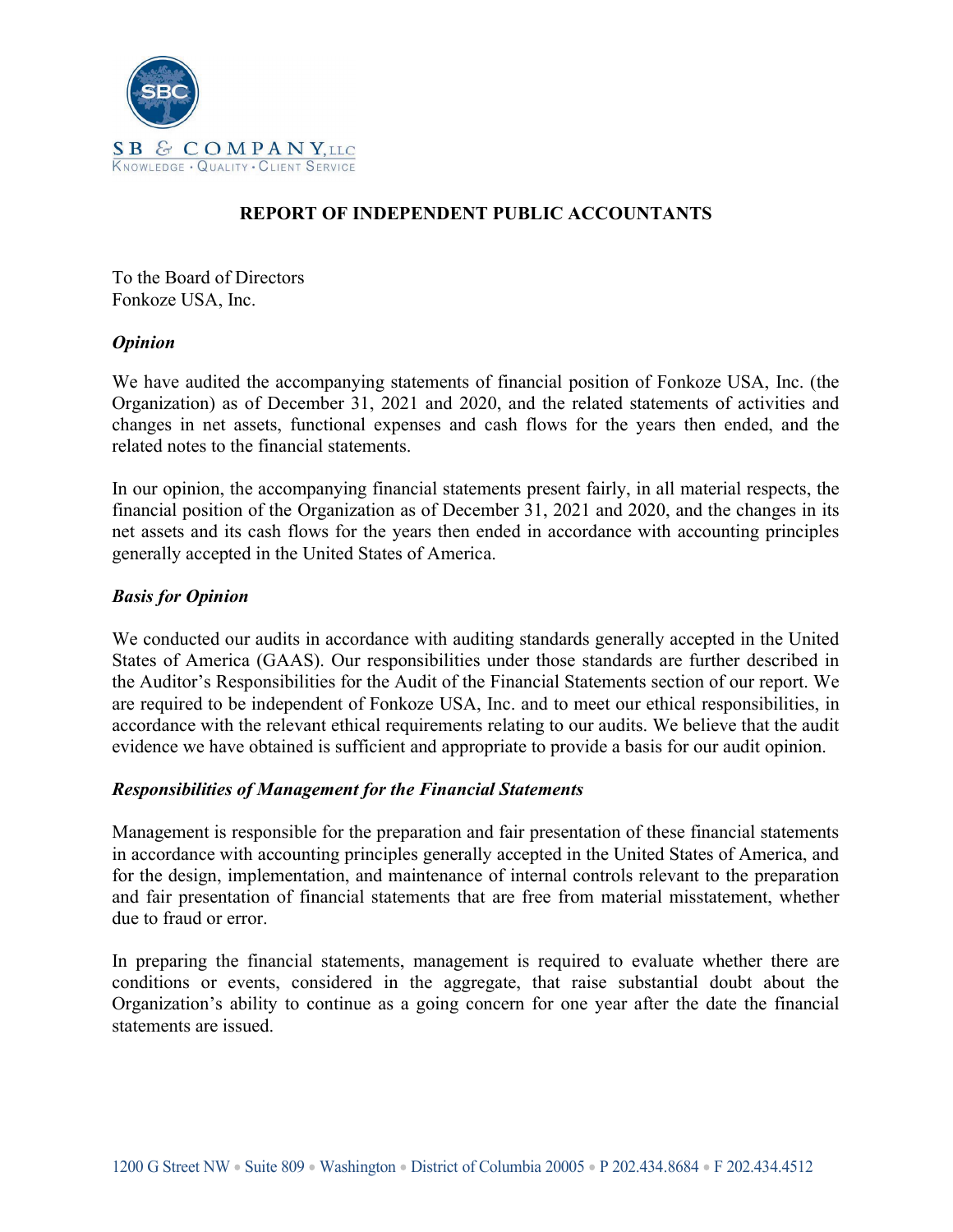

## REPORT OF INDEPENDENT PUBLIC ACCOUNTANTS

To the Board of Directors Fonkoze USA, Inc.

### **Opinion**

We have audited the accompanying statements of financial position of Fonkoze USA, Inc. (the Organization) as of December 31, 2021 and 2020, and the related statements of activities and changes in net assets, functional expenses and cash flows for the years then ended, and the related notes to the financial statements.

In our opinion, the accompanying financial statements present fairly, in all material respects, the financial position of the Organization as of December 31, 2021 and 2020, and the changes in its net assets and its cash flows for the years then ended in accordance with accounting principles generally accepted in the United States of America.

### Basis for Opinion

We conducted our audits in accordance with auditing standards generally accepted in the United States of America (GAAS). Our responsibilities under those standards are further described in the Auditor's Responsibilities for the Audit of the Financial Statements section of our report. We are required to be independent of Fonkoze USA, Inc. and to meet our ethical responsibilities, in accordance with the relevant ethical requirements relating to our audits. We believe that the audit evidence we have obtained is sufficient and appropriate to provide a basis for our audit opinion.

#### Responsibilities of Management for the Financial Statements

Management is responsible for the preparation and fair presentation of these financial statements in accordance with accounting principles generally accepted in the United States of America, and for the design, implementation, and maintenance of internal controls relevant to the preparation and fair presentation of financial statements that are free from material misstatement, whether due to fraud or error.

In preparing the financial statements, management is required to evaluate whether there are conditions or events, considered in the aggregate, that raise substantial doubt about the Organization's ability to continue as a going concern for one year after the date the financial statements are issued.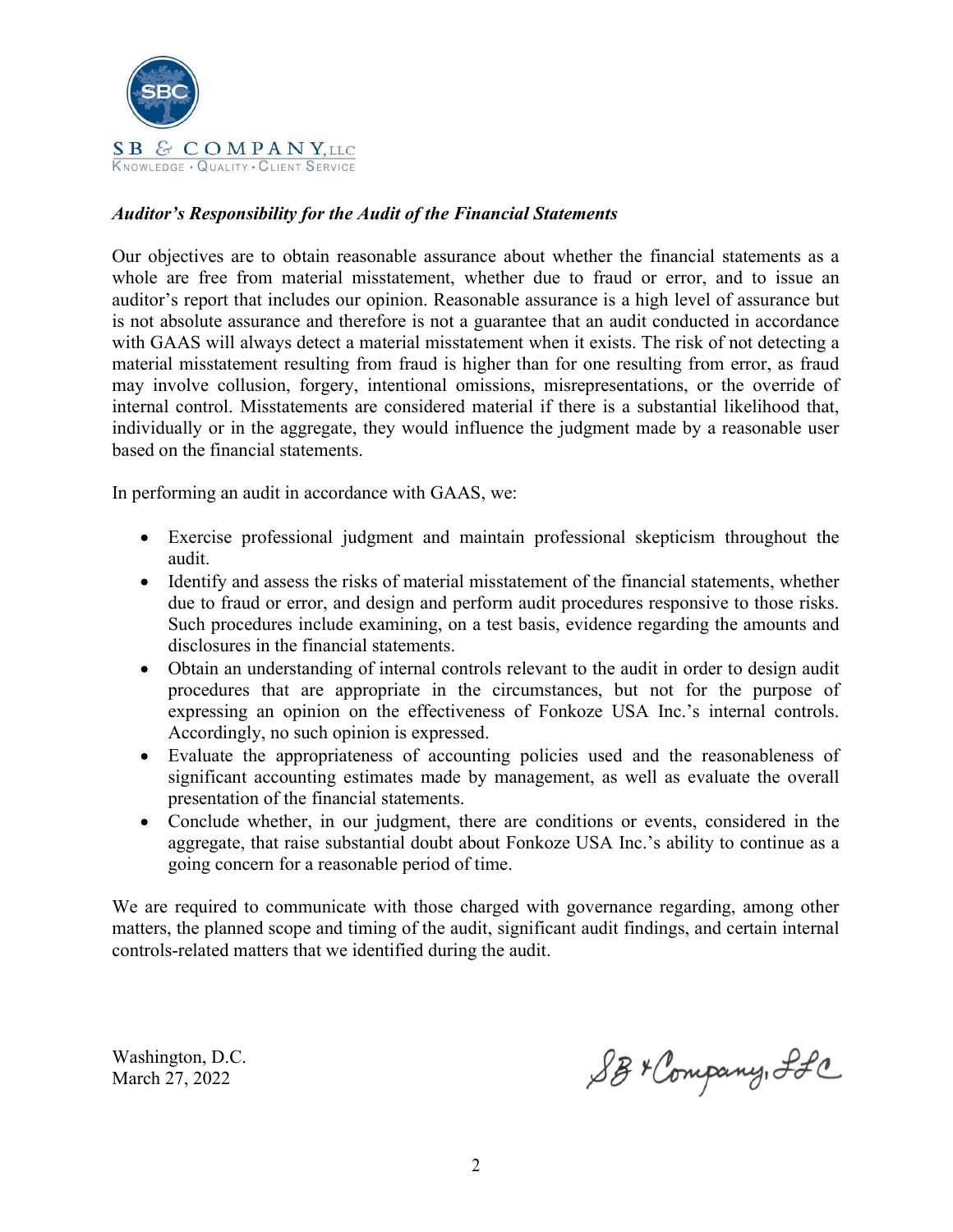

## Auditor's Responsibility for the Audit of the Financial Statements

Our objectives are to obtain reasonable assurance about whether the financial statements as a whole are free from material misstatement, whether due to fraud or error, and to issue an auditor's report that includes our opinion. Reasonable assurance is a high level of assurance but is not absolute assurance and therefore is not a guarantee that an audit conducted in accordance with GAAS will always detect a material misstatement when it exists. The risk of not detecting a material misstatement resulting from fraud is higher than for one resulting from error, as fraud may involve collusion, forgery, intentional omissions, misrepresentations, or the override of internal control. Misstatements are considered material if there is a substantial likelihood that, individually or in the aggregate, they would influence the judgment made by a reasonable user based on the financial statements.

In performing an audit in accordance with GAAS, we:

- Exercise professional judgment and maintain professional skepticism throughout the audit.
- Identify and assess the risks of material misstatement of the financial statements, whether due to fraud or error, and design and perform audit procedures responsive to those risks. Such procedures include examining, on a test basis, evidence regarding the amounts and disclosures in the financial statements.
- Obtain an understanding of internal controls relevant to the audit in order to design audit procedures that are appropriate in the circumstances, but not for the purpose of expressing an opinion on the effectiveness of Fonkoze USA Inc.'s internal controls. Accordingly, no such opinion is expressed.
- Evaluate the appropriateness of accounting policies used and the reasonableness of significant accounting estimates made by management, as well as evaluate the overall presentation of the financial statements.
- Conclude whether, in our judgment, there are conditions or events, considered in the aggregate, that raise substantial doubt about Fonkoze USA Inc.'s ability to continue as a going concern for a reasonable period of time.

We are required to communicate with those charged with governance regarding, among other matters, the planned scope and timing of the audit, significant audit findings, and certain internal controls-related matters that we identified during the audit.

Washington, D.C. March 27, 2022

SB+ Company, Ifc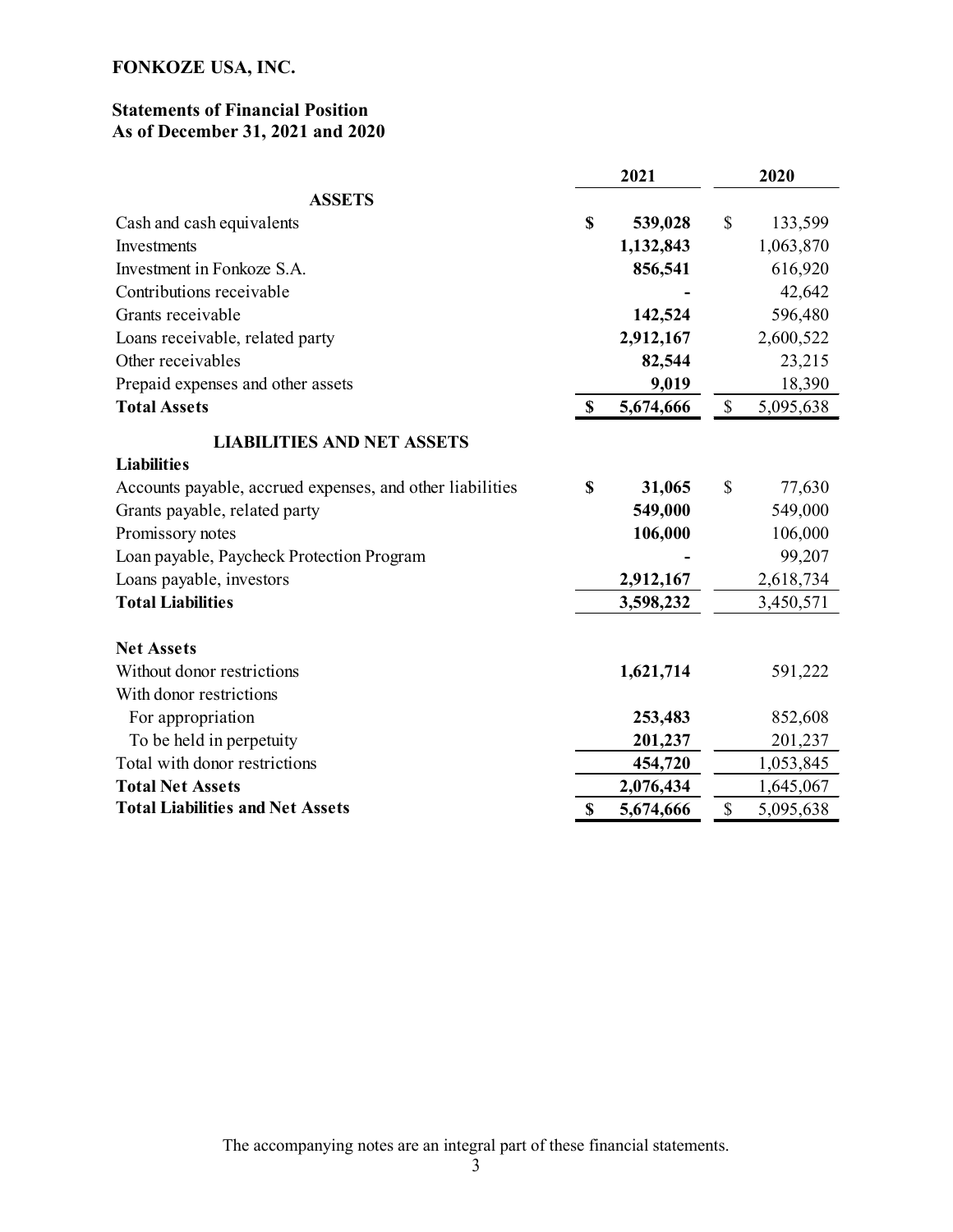## Statements of Financial Position As of December 31, 2021 and 2020

|                                                           |    | 2021      | 2020         |           |  |
|-----------------------------------------------------------|----|-----------|--------------|-----------|--|
| <b>ASSETS</b>                                             |    |           |              |           |  |
| Cash and cash equivalents                                 | \$ | 539,028   | \$           | 133,599   |  |
| Investments                                               |    | 1,132,843 |              | 1,063,870 |  |
| Investment in Fonkoze S.A.                                |    | 856,541   |              | 616,920   |  |
| Contributions receivable                                  |    |           |              | 42,642    |  |
| Grants receivable                                         |    | 142,524   |              | 596,480   |  |
| Loans receivable, related party                           |    | 2,912,167 |              | 2,600,522 |  |
| Other receivables                                         |    | 82,544    |              | 23,215    |  |
| Prepaid expenses and other assets                         |    | 9,019     |              | 18,390    |  |
| <b>Total Assets</b>                                       | \$ | 5,674,666 | $\mathbb{S}$ | 5,095,638 |  |
| <b>LIABILITIES AND NET ASSETS</b>                         |    |           |              |           |  |
| <b>Liabilities</b>                                        |    |           |              |           |  |
| Accounts payable, accrued expenses, and other liabilities | S  | 31,065    | \$           | 77,630    |  |
| Grants payable, related party                             |    | 549,000   |              | 549,000   |  |
| Promissory notes                                          |    | 106,000   |              | 106,000   |  |
| Loan payable, Paycheck Protection Program                 |    |           |              | 99,207    |  |
| Loans payable, investors                                  |    | 2,912,167 |              | 2,618,734 |  |
| <b>Total Liabilities</b>                                  |    | 3,598,232 |              | 3,450,571 |  |
| <b>Net Assets</b>                                         |    |           |              |           |  |
| Without donor restrictions                                |    | 1,621,714 |              | 591,222   |  |
| With donor restrictions                                   |    |           |              |           |  |
| For appropriation                                         |    | 253,483   |              | 852,608   |  |
| To be held in perpetuity                                  |    | 201,237   |              | 201,237   |  |
| Total with donor restrictions                             |    | 454,720   |              | 1,053,845 |  |
| <b>Total Net Assets</b>                                   |    | 2,076,434 |              | 1,645,067 |  |
| <b>Total Liabilities and Net Assets</b>                   | \$ | 5,674,666 | \$           | 5,095,638 |  |

The accompanying notes are an integral part of these financial statements.<br>  $\frac{3}{2}$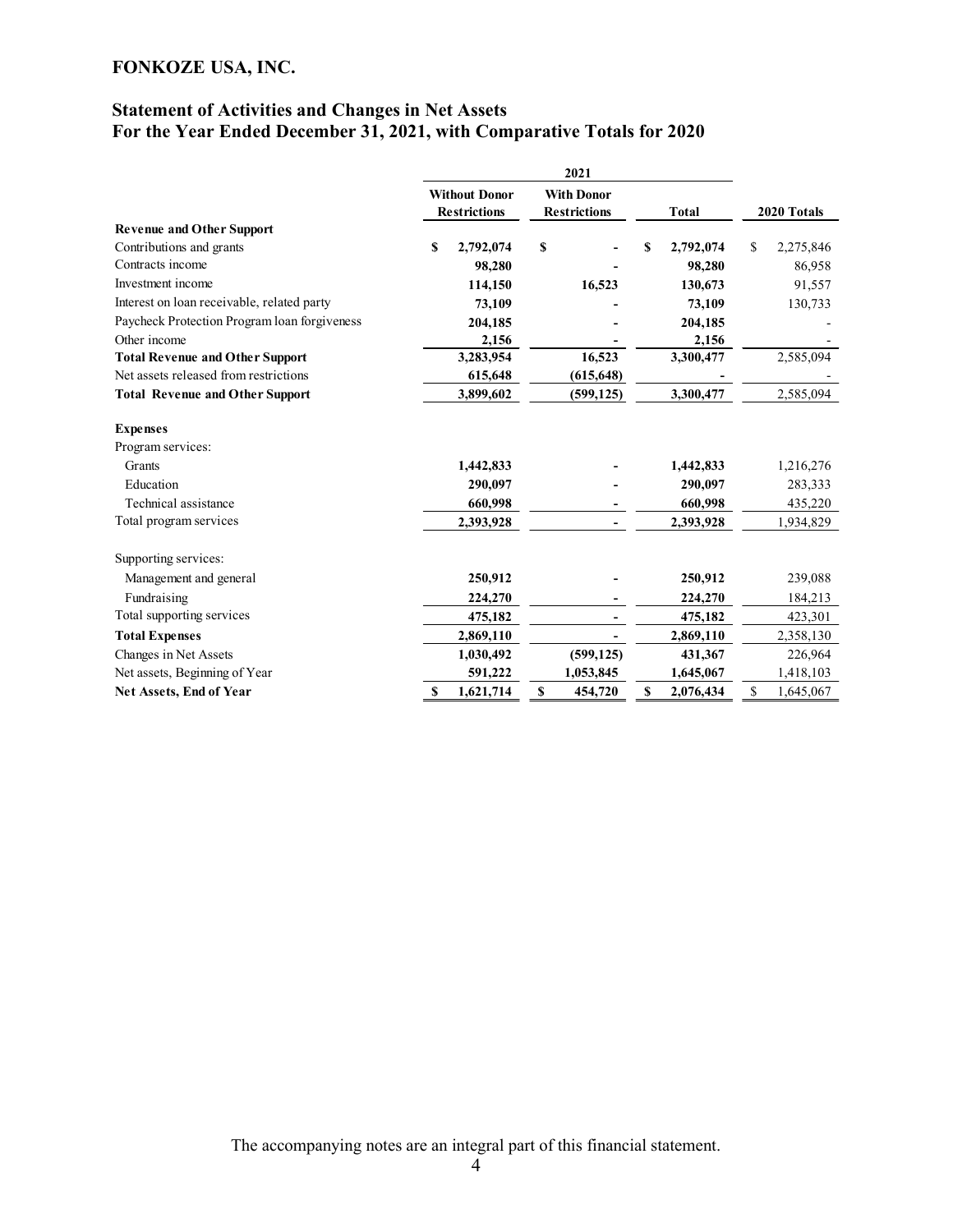## Statement of Activities and Changes in Net Assets For the Year Ended December 31, 2021, with Comparative Totals for 2020

|                                              | 2021 |                                             |    |                                          |    |              |                 |
|----------------------------------------------|------|---------------------------------------------|----|------------------------------------------|----|--------------|-----------------|
|                                              |      | <b>Without Donor</b><br><b>Restrictions</b> |    | <b>With Donor</b><br><b>Restrictions</b> |    | <b>Total</b> | 2020 Totals     |
| <b>Revenue and Other Support</b>             |      |                                             |    |                                          |    |              |                 |
| Contributions and grants                     | \$   | 2,792,074                                   | \$ |                                          | \$ | 2,792,074    | \$<br>2,275,846 |
| Contracts income                             |      | 98,280                                      |    |                                          |    | 98,280       | 86,958          |
| Investment income                            |      | 114,150                                     |    | 16,523                                   |    | 130,673      | 91,557          |
| Interest on loan receivable, related party   |      | 73,109                                      |    |                                          |    | 73,109       | 130,733         |
| Paycheck Protection Program loan forgiveness |      | 204,185                                     |    |                                          |    | 204,185      |                 |
| Other income                                 |      | 2,156                                       |    |                                          |    | 2,156        |                 |
| <b>Total Revenue and Other Support</b>       |      | 3,283,954                                   |    | 16,523                                   |    | 3,300,477    | 2,585,094       |
| Net assets released from restrictions        |      | 615,648                                     |    | (615, 648)                               |    |              |                 |
| <b>Total Revenue and Other Support</b>       |      | 3,899,602                                   |    | (599, 125)                               |    | 3,300,477    | 2,585,094       |
| <b>Expenses</b>                              |      |                                             |    |                                          |    |              |                 |
| Program services:                            |      |                                             |    |                                          |    |              |                 |
| Grants                                       |      | 1,442,833                                   |    |                                          |    | 1,442,833    | 1,216,276       |
| Education                                    |      | 290,097                                     |    |                                          |    | 290,097      | 283,333         |
| Technical assistance                         |      | 660,998                                     |    |                                          |    | 660,998      | 435,220         |
| Total program services                       |      | 2,393,928                                   |    |                                          |    | 2,393,928    | 1,934,829       |
| Supporting services:                         |      |                                             |    |                                          |    |              |                 |
| Management and general                       |      | 250,912                                     |    |                                          |    | 250,912      | 239,088         |
| Fundraising                                  |      | 224,270                                     |    |                                          |    | 224,270      | 184,213         |
| Total supporting services                    |      | 475,182                                     |    |                                          |    | 475,182      | 423,301         |
| <b>Total Expenses</b>                        |      | 2,869,110                                   |    |                                          |    | 2,869,110    | 2,358,130       |
| Changes in Net Assets                        |      | 1,030,492                                   |    | (599, 125)                               |    | 431,367      | 226,964         |
| Net assets, Beginning of Year                |      | 591,222                                     |    | 1,053,845                                |    | 1,645,067    | 1,418,103       |
| Net Assets, End of Year                      | \$   | 1,621,714                                   | \$ | 454,720                                  | \$ | 2,076,434    | \$<br>1,645,067 |

The accompanying notes are an integral part of this financial statement.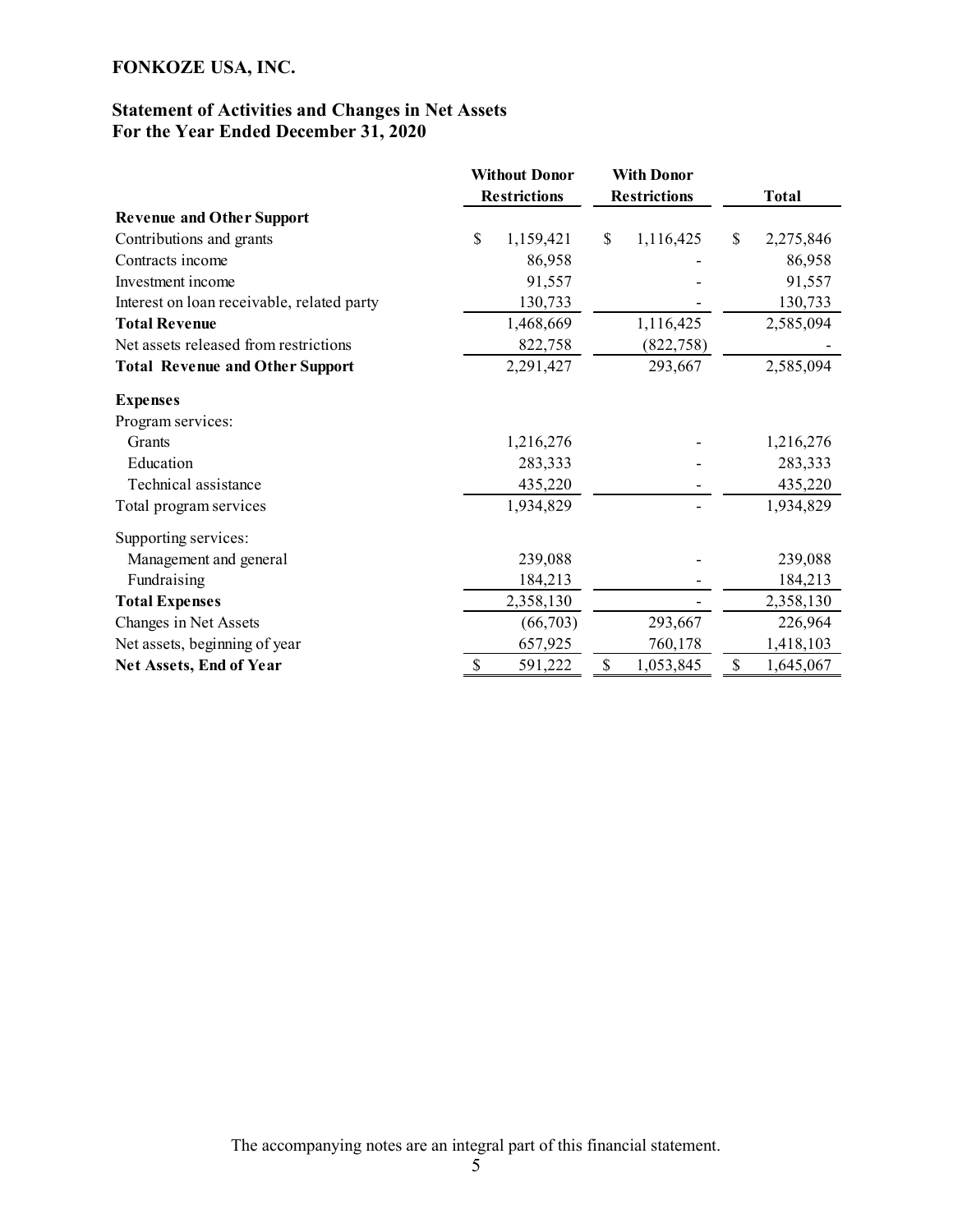## Statement of Activities and Changes in Net Assets For the Year Ended December 31, 2020

|                                            | <b>Without Donor</b> | <b>With Donor</b>         |                           |
|--------------------------------------------|----------------------|---------------------------|---------------------------|
|                                            | <b>Restrictions</b>  | <b>Restrictions</b>       | <b>Total</b>              |
| <b>Revenue and Other Support</b>           |                      |                           |                           |
| Contributions and grants                   | \$<br>1,159,421      | $\mathbb{S}$<br>1,116,425 | $\mathbb{S}$<br>2,275,846 |
| Contracts income                           | 86,958               |                           | 86,958                    |
| Investment income                          | 91,557               |                           | 91,557                    |
| Interest on loan receivable, related party | 130,733              |                           | 130,733                   |
| <b>Total Revenue</b>                       | 1,468,669            | 1,116,425                 | 2,585,094                 |
| Net assets released from restrictions      | 822,758              | (822, 758)                |                           |
| <b>Total Revenue and Other Support</b>     | 2,291,427            | 293,667                   | 2,585,094                 |
| <b>Expenses</b>                            |                      |                           |                           |
| Program services:                          |                      |                           |                           |
| Grants                                     | 1,216,276            |                           | 1,216,276                 |
| Education                                  | 283,333              |                           | 283,333                   |
| Technical assistance                       | 435,220              |                           | 435,220                   |
| Total program services                     | 1,934,829            |                           | 1,934,829                 |
| Supporting services:                       |                      |                           |                           |
| Management and general                     | 239,088              |                           | 239,088                   |
| Fundraising                                | 184,213              |                           | 184,213                   |
| <b>Total Expenses</b>                      | 2,358,130            |                           | 2,358,130                 |
| Changes in Net Assets                      | (66,703)             | 293,667                   | 226,964                   |
| Net assets, beginning of year              | 657,925              | 760,178                   | 1,418,103                 |
| Net Assets, End of Year                    | \$<br>591,222        | \$<br>1,053,845           | \$<br>1,645,067           |

The accompanying notes are an integral part of this financial statement.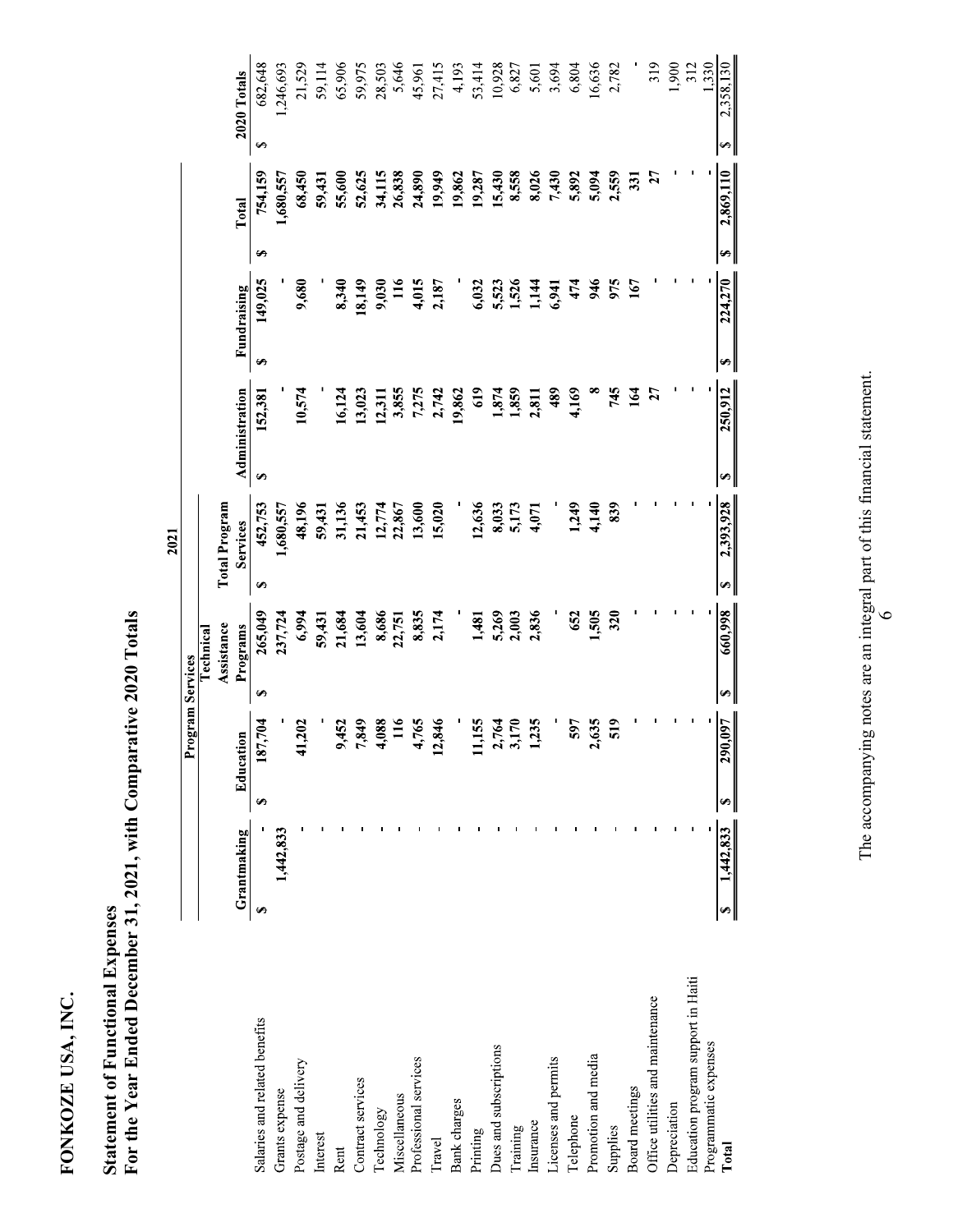| 2,869,110<br>754,159<br>55,600<br>68,450<br>52,625<br>34,115<br>26,838<br>24,890<br>19,949<br>15,430<br>8,558<br>8,026<br>2,559<br>27<br>19,287<br>7,430<br>5,094<br>1,680,557<br>59,431<br>19,862<br>331<br>5,892<br>Total<br>$\blacktriangleright$<br>S<br>224,270<br>149,025<br>9,680<br>8,340<br>18,149<br>9,030<br>$\frac{16}{1}$<br>4,015<br>1,526<br>1,144<br>474<br>946<br>975<br>2,187<br>6,032<br>5,523<br>167<br>6,941<br>Fundraising<br>S<br>Ø<br>The accompanying notes are an integral part of this financial statement.<br>250,912<br>152,381<br>7,275<br>164<br>Administration<br>10,574<br>16,124<br>13,023<br>3,855<br>2,742<br>619<br>1,874<br>1,859<br>4,169<br>$\infty$<br>745<br>27<br>12,311<br>19,862<br>2,811<br>489<br>$\bullet$<br>Ø<br>2,393,928<br><b>Total Program</b><br>452,753<br>48,196<br>31,136<br>839<br>21,453<br>12,774<br>13,600<br>15,020<br>12,636<br>5,173<br>1,249<br>4,140<br>J.<br>8,033<br>п.<br>1,680,557<br>59,431<br>4,071<br>22,867<br>Services<br>S)<br>$\bullet$<br>866'099<br>265,049<br>1,505<br>237,724<br>6,994<br>21,684<br>13,604<br>8,686<br>8,835<br>2,174<br>5,269<br>2,003<br>2,836<br>652<br>320<br>59,431<br>1,481<br>$\circ$<br>22,751<br>Assistance<br>Programs<br><b>Program Services</b><br>Technical<br>S<br>$\bullet$<br><b>290,097</b><br>187,704<br>4,088<br>$\frac{16}{1}$<br>4,765<br>2,846<br>3,170<br>519<br>41,202<br>7,849<br>1,155<br>2,764<br>1,235<br>2,635<br>9,452<br>597<br>Education<br>$\bullet$<br>$\bullet$<br>$\frac{1,442,833}{2}$<br>$\mathbf{u} = \mathbf{u}$<br><b>Filter</b><br>$\mathbf{L}$<br>- 11<br>$\mathbf{r}$<br>and in<br>and the state<br>$\mathbf{H}$<br>- 11<br>- 11<br>1,442,833<br>Grantmaking<br>G,<br>$\blacktriangleright$<br>Education program support in Haiti<br>Office utilities and maintenance<br>Salaries and related benefits<br>Programmatic expenses<br>Dues and subscriptions<br>Promotion and media<br>Professional services<br>Licenses and permits<br>Postage and delivery<br>Contract services<br>Board meetings<br>Grants expense<br>Miscellaneous<br>Bank charges<br>Depreciation<br>Technology<br>Telephone<br>Insurance<br>Training<br>Supplies<br>Printing<br>Interest<br>Travel<br>Total<br>Rent | 682,648<br>21,529<br>65,906<br>59,975<br>319<br>1,900<br>1.330<br>1,246,693<br>59,114<br>28,503<br>5,646<br>45,961<br>27,415<br>4,193<br>53,414<br>10,928<br>6,804<br>16,636<br>2,782<br>312<br>6,827<br>5,601<br>3,694<br>2020 Totals |  |  |  |
|--------------------------------------------------------------------------------------------------------------------------------------------------------------------------------------------------------------------------------------------------------------------------------------------------------------------------------------------------------------------------------------------------------------------------------------------------------------------------------------------------------------------------------------------------------------------------------------------------------------------------------------------------------------------------------------------------------------------------------------------------------------------------------------------------------------------------------------------------------------------------------------------------------------------------------------------------------------------------------------------------------------------------------------------------------------------------------------------------------------------------------------------------------------------------------------------------------------------------------------------------------------------------------------------------------------------------------------------------------------------------------------------------------------------------------------------------------------------------------------------------------------------------------------------------------------------------------------------------------------------------------------------------------------------------------------------------------------------------------------------------------------------------------------------------------------------------------------------------------------------------------------------------------------------------------------------------------------------------------------------------------------------------------------------------------------------------------------------------------------------------------------------------------------------------------------------------------------------------------------|----------------------------------------------------------------------------------------------------------------------------------------------------------------------------------------------------------------------------------------|--|--|--|
|                                                                                                                                                                                                                                                                                                                                                                                                                                                                                                                                                                                                                                                                                                                                                                                                                                                                                                                                                                                                                                                                                                                                                                                                                                                                                                                                                                                                                                                                                                                                                                                                                                                                                                                                                                                                                                                                                                                                                                                                                                                                                                                                                                                                                                      |                                                                                                                                                                                                                                        |  |  |  |
|                                                                                                                                                                                                                                                                                                                                                                                                                                                                                                                                                                                                                                                                                                                                                                                                                                                                                                                                                                                                                                                                                                                                                                                                                                                                                                                                                                                                                                                                                                                                                                                                                                                                                                                                                                                                                                                                                                                                                                                                                                                                                                                                                                                                                                      |                                                                                                                                                                                                                                        |  |  |  |
|                                                                                                                                                                                                                                                                                                                                                                                                                                                                                                                                                                                                                                                                                                                                                                                                                                                                                                                                                                                                                                                                                                                                                                                                                                                                                                                                                                                                                                                                                                                                                                                                                                                                                                                                                                                                                                                                                                                                                                                                                                                                                                                                                                                                                                      |                                                                                                                                                                                                                                        |  |  |  |
|                                                                                                                                                                                                                                                                                                                                                                                                                                                                                                                                                                                                                                                                                                                                                                                                                                                                                                                                                                                                                                                                                                                                                                                                                                                                                                                                                                                                                                                                                                                                                                                                                                                                                                                                                                                                                                                                                                                                                                                                                                                                                                                                                                                                                                      |                                                                                                                                                                                                                                        |  |  |  |
|                                                                                                                                                                                                                                                                                                                                                                                                                                                                                                                                                                                                                                                                                                                                                                                                                                                                                                                                                                                                                                                                                                                                                                                                                                                                                                                                                                                                                                                                                                                                                                                                                                                                                                                                                                                                                                                                                                                                                                                                                                                                                                                                                                                                                                      |                                                                                                                                                                                                                                        |  |  |  |
|                                                                                                                                                                                                                                                                                                                                                                                                                                                                                                                                                                                                                                                                                                                                                                                                                                                                                                                                                                                                                                                                                                                                                                                                                                                                                                                                                                                                                                                                                                                                                                                                                                                                                                                                                                                                                                                                                                                                                                                                                                                                                                                                                                                                                                      |                                                                                                                                                                                                                                        |  |  |  |
|                                                                                                                                                                                                                                                                                                                                                                                                                                                                                                                                                                                                                                                                                                                                                                                                                                                                                                                                                                                                                                                                                                                                                                                                                                                                                                                                                                                                                                                                                                                                                                                                                                                                                                                                                                                                                                                                                                                                                                                                                                                                                                                                                                                                                                      |                                                                                                                                                                                                                                        |  |  |  |
|                                                                                                                                                                                                                                                                                                                                                                                                                                                                                                                                                                                                                                                                                                                                                                                                                                                                                                                                                                                                                                                                                                                                                                                                                                                                                                                                                                                                                                                                                                                                                                                                                                                                                                                                                                                                                                                                                                                                                                                                                                                                                                                                                                                                                                      |                                                                                                                                                                                                                                        |  |  |  |
|                                                                                                                                                                                                                                                                                                                                                                                                                                                                                                                                                                                                                                                                                                                                                                                                                                                                                                                                                                                                                                                                                                                                                                                                                                                                                                                                                                                                                                                                                                                                                                                                                                                                                                                                                                                                                                                                                                                                                                                                                                                                                                                                                                                                                                      |                                                                                                                                                                                                                                        |  |  |  |
|                                                                                                                                                                                                                                                                                                                                                                                                                                                                                                                                                                                                                                                                                                                                                                                                                                                                                                                                                                                                                                                                                                                                                                                                                                                                                                                                                                                                                                                                                                                                                                                                                                                                                                                                                                                                                                                                                                                                                                                                                                                                                                                                                                                                                                      |                                                                                                                                                                                                                                        |  |  |  |
|                                                                                                                                                                                                                                                                                                                                                                                                                                                                                                                                                                                                                                                                                                                                                                                                                                                                                                                                                                                                                                                                                                                                                                                                                                                                                                                                                                                                                                                                                                                                                                                                                                                                                                                                                                                                                                                                                                                                                                                                                                                                                                                                                                                                                                      |                                                                                                                                                                                                                                        |  |  |  |
|                                                                                                                                                                                                                                                                                                                                                                                                                                                                                                                                                                                                                                                                                                                                                                                                                                                                                                                                                                                                                                                                                                                                                                                                                                                                                                                                                                                                                                                                                                                                                                                                                                                                                                                                                                                                                                                                                                                                                                                                                                                                                                                                                                                                                                      |                                                                                                                                                                                                                                        |  |  |  |
|                                                                                                                                                                                                                                                                                                                                                                                                                                                                                                                                                                                                                                                                                                                                                                                                                                                                                                                                                                                                                                                                                                                                                                                                                                                                                                                                                                                                                                                                                                                                                                                                                                                                                                                                                                                                                                                                                                                                                                                                                                                                                                                                                                                                                                      |                                                                                                                                                                                                                                        |  |  |  |
|                                                                                                                                                                                                                                                                                                                                                                                                                                                                                                                                                                                                                                                                                                                                                                                                                                                                                                                                                                                                                                                                                                                                                                                                                                                                                                                                                                                                                                                                                                                                                                                                                                                                                                                                                                                                                                                                                                                                                                                                                                                                                                                                                                                                                                      |                                                                                                                                                                                                                                        |  |  |  |
|                                                                                                                                                                                                                                                                                                                                                                                                                                                                                                                                                                                                                                                                                                                                                                                                                                                                                                                                                                                                                                                                                                                                                                                                                                                                                                                                                                                                                                                                                                                                                                                                                                                                                                                                                                                                                                                                                                                                                                                                                                                                                                                                                                                                                                      |                                                                                                                                                                                                                                        |  |  |  |
|                                                                                                                                                                                                                                                                                                                                                                                                                                                                                                                                                                                                                                                                                                                                                                                                                                                                                                                                                                                                                                                                                                                                                                                                                                                                                                                                                                                                                                                                                                                                                                                                                                                                                                                                                                                                                                                                                                                                                                                                                                                                                                                                                                                                                                      |                                                                                                                                                                                                                                        |  |  |  |
|                                                                                                                                                                                                                                                                                                                                                                                                                                                                                                                                                                                                                                                                                                                                                                                                                                                                                                                                                                                                                                                                                                                                                                                                                                                                                                                                                                                                                                                                                                                                                                                                                                                                                                                                                                                                                                                                                                                                                                                                                                                                                                                                                                                                                                      |                                                                                                                                                                                                                                        |  |  |  |
|                                                                                                                                                                                                                                                                                                                                                                                                                                                                                                                                                                                                                                                                                                                                                                                                                                                                                                                                                                                                                                                                                                                                                                                                                                                                                                                                                                                                                                                                                                                                                                                                                                                                                                                                                                                                                                                                                                                                                                                                                                                                                                                                                                                                                                      |                                                                                                                                                                                                                                        |  |  |  |
|                                                                                                                                                                                                                                                                                                                                                                                                                                                                                                                                                                                                                                                                                                                                                                                                                                                                                                                                                                                                                                                                                                                                                                                                                                                                                                                                                                                                                                                                                                                                                                                                                                                                                                                                                                                                                                                                                                                                                                                                                                                                                                                                                                                                                                      |                                                                                                                                                                                                                                        |  |  |  |
|                                                                                                                                                                                                                                                                                                                                                                                                                                                                                                                                                                                                                                                                                                                                                                                                                                                                                                                                                                                                                                                                                                                                                                                                                                                                                                                                                                                                                                                                                                                                                                                                                                                                                                                                                                                                                                                                                                                                                                                                                                                                                                                                                                                                                                      |                                                                                                                                                                                                                                        |  |  |  |
|                                                                                                                                                                                                                                                                                                                                                                                                                                                                                                                                                                                                                                                                                                                                                                                                                                                                                                                                                                                                                                                                                                                                                                                                                                                                                                                                                                                                                                                                                                                                                                                                                                                                                                                                                                                                                                                                                                                                                                                                                                                                                                                                                                                                                                      |                                                                                                                                                                                                                                        |  |  |  |
|                                                                                                                                                                                                                                                                                                                                                                                                                                                                                                                                                                                                                                                                                                                                                                                                                                                                                                                                                                                                                                                                                                                                                                                                                                                                                                                                                                                                                                                                                                                                                                                                                                                                                                                                                                                                                                                                                                                                                                                                                                                                                                                                                                                                                                      |                                                                                                                                                                                                                                        |  |  |  |
|                                                                                                                                                                                                                                                                                                                                                                                                                                                                                                                                                                                                                                                                                                                                                                                                                                                                                                                                                                                                                                                                                                                                                                                                                                                                                                                                                                                                                                                                                                                                                                                                                                                                                                                                                                                                                                                                                                                                                                                                                                                                                                                                                                                                                                      | ,358,130<br>$\sim$<br>↔                                                                                                                                                                                                                |  |  |  |
|                                                                                                                                                                                                                                                                                                                                                                                                                                                                                                                                                                                                                                                                                                                                                                                                                                                                                                                                                                                                                                                                                                                                                                                                                                                                                                                                                                                                                                                                                                                                                                                                                                                                                                                                                                                                                                                                                                                                                                                                                                                                                                                                                                                                                                      |                                                                                                                                                                                                                                        |  |  |  |
|                                                                                                                                                                                                                                                                                                                                                                                                                                                                                                                                                                                                                                                                                                                                                                                                                                                                                                                                                                                                                                                                                                                                                                                                                                                                                                                                                                                                                                                                                                                                                                                                                                                                                                                                                                                                                                                                                                                                                                                                                                                                                                                                                                                                                                      |                                                                                                                                                                                                                                        |  |  |  |
|                                                                                                                                                                                                                                                                                                                                                                                                                                                                                                                                                                                                                                                                                                                                                                                                                                                                                                                                                                                                                                                                                                                                                                                                                                                                                                                                                                                                                                                                                                                                                                                                                                                                                                                                                                                                                                                                                                                                                                                                                                                                                                                                                                                                                                      |                                                                                                                                                                                                                                        |  |  |  |
|                                                                                                                                                                                                                                                                                                                                                                                                                                                                                                                                                                                                                                                                                                                                                                                                                                                                                                                                                                                                                                                                                                                                                                                                                                                                                                                                                                                                                                                                                                                                                                                                                                                                                                                                                                                                                                                                                                                                                                                                                                                                                                                                                                                                                                      |                                                                                                                                                                                                                                        |  |  |  |
|                                                                                                                                                                                                                                                                                                                                                                                                                                                                                                                                                                                                                                                                                                                                                                                                                                                                                                                                                                                                                                                                                                                                                                                                                                                                                                                                                                                                                                                                                                                                                                                                                                                                                                                                                                                                                                                                                                                                                                                                                                                                                                                                                                                                                                      |                                                                                                                                                                                                                                        |  |  |  |
|                                                                                                                                                                                                                                                                                                                                                                                                                                                                                                                                                                                                                                                                                                                                                                                                                                                                                                                                                                                                                                                                                                                                                                                                                                                                                                                                                                                                                                                                                                                                                                                                                                                                                                                                                                                                                                                                                                                                                                                                                                                                                                                                                                                                                                      |                                                                                                                                                                                                                                        |  |  |  |
|                                                                                                                                                                                                                                                                                                                                                                                                                                                                                                                                                                                                                                                                                                                                                                                                                                                                                                                                                                                                                                                                                                                                                                                                                                                                                                                                                                                                                                                                                                                                                                                                                                                                                                                                                                                                                                                                                                                                                                                                                                                                                                                                                                                                                                      |                                                                                                                                                                                                                                        |  |  |  |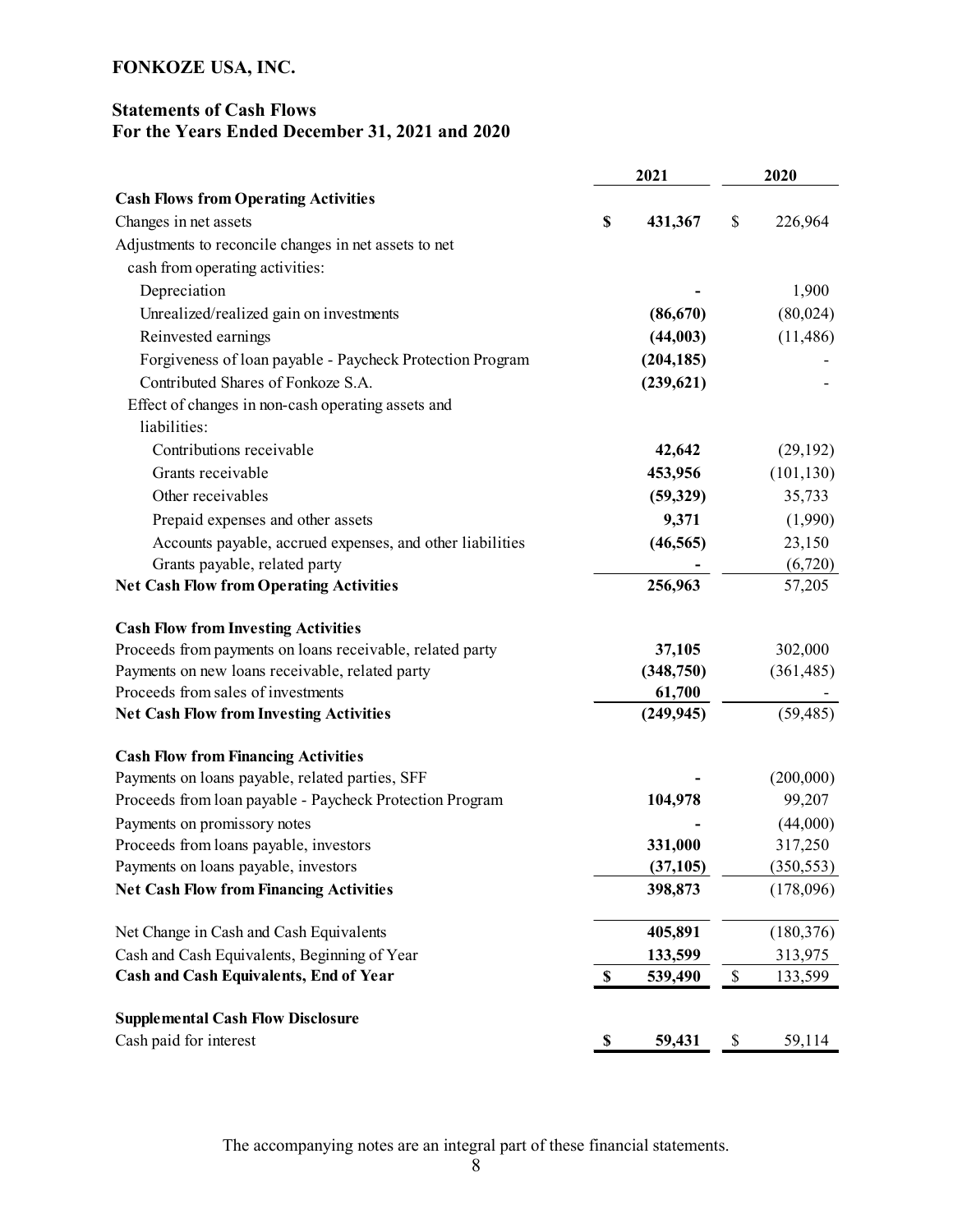## Statements of Cash Flows For the Years Ended December 31, 2021 and 2020

|                                                           | 2021 |            |    | 2020       |  |
|-----------------------------------------------------------|------|------------|----|------------|--|
| <b>Cash Flows from Operating Activities</b>               |      |            |    |            |  |
| Changes in net assets                                     | \$   | 431,367    | \$ | 226,964    |  |
| Adjustments to reconcile changes in net assets to net     |      |            |    |            |  |
| cash from operating activities:                           |      |            |    |            |  |
| Depreciation                                              |      |            |    | 1,900      |  |
| Unrealized/realized gain on investments                   |      | (86, 670)  |    | (80,024)   |  |
| Reinvested earnings                                       |      | (44,003)   |    | (11, 486)  |  |
| Forgiveness of loan payable - Paycheck Protection Program |      | (204, 185) |    |            |  |
| Contributed Shares of Fonkoze S.A.                        |      | (239, 621) |    |            |  |
| Effect of changes in non-cash operating assets and        |      |            |    |            |  |
| liabilities:                                              |      |            |    |            |  |
| Contributions receivable                                  |      | 42,642     |    | (29, 192)  |  |
| Grants receivable                                         |      | 453,956    |    | (101, 130) |  |
| Other receivables                                         |      | (59,329)   |    | 35,733     |  |
| Prepaid expenses and other assets                         |      | 9,371      |    | (1,990)    |  |
| Accounts payable, accrued expenses, and other liabilities |      | (46, 565)  |    | 23,150     |  |
| Grants payable, related party                             |      |            |    | (6,720)    |  |
| <b>Net Cash Flow from Operating Activities</b>            |      | 256,963    |    | 57,205     |  |
| <b>Cash Flow from Investing Activities</b>                |      |            |    |            |  |
| Proceeds from payments on loans receivable, related party |      | 37,105     |    | 302,000    |  |
| Payments on new loans receivable, related party           |      | (348,750)  |    | (361, 485) |  |
| Proceeds from sales of investments                        |      | 61,700     |    |            |  |
| <b>Net Cash Flow from Investing Activities</b>            |      | (249, 945) |    | (59, 485)  |  |
| <b>Cash Flow from Financing Activities</b>                |      |            |    |            |  |
| Payments on loans payable, related parties, SFF           |      |            |    | (200,000)  |  |
| Proceeds from loan payable - Paycheck Protection Program  |      | 104,978    |    | 99,207     |  |
| Payments on promissory notes                              |      |            |    | (44,000)   |  |
| Proceeds from loans payable, investors                    |      | 331,000    |    | 317,250    |  |
| Payments on loans payable, investors                      |      | (37, 105)  |    | (350, 553) |  |
| <b>Net Cash Flow from Financing Activities</b>            |      | 398,873    |    | (178,096)  |  |
| Net Change in Cash and Cash Equivalents                   |      | 405,891    |    | (180, 376) |  |
| Cash and Cash Equivalents, Beginning of Year              |      | 133,599    |    | 313,975    |  |
| Cash and Cash Equivalents, End of Year                    | \$   | 539,490    | \$ | 133,599    |  |
| <b>Supplemental Cash Flow Disclosure</b>                  |      |            |    |            |  |
| Cash paid for interest                                    | \$   | 59,431     | \$ | 59,114     |  |

The accompanying notes are an integral part of these financial statements.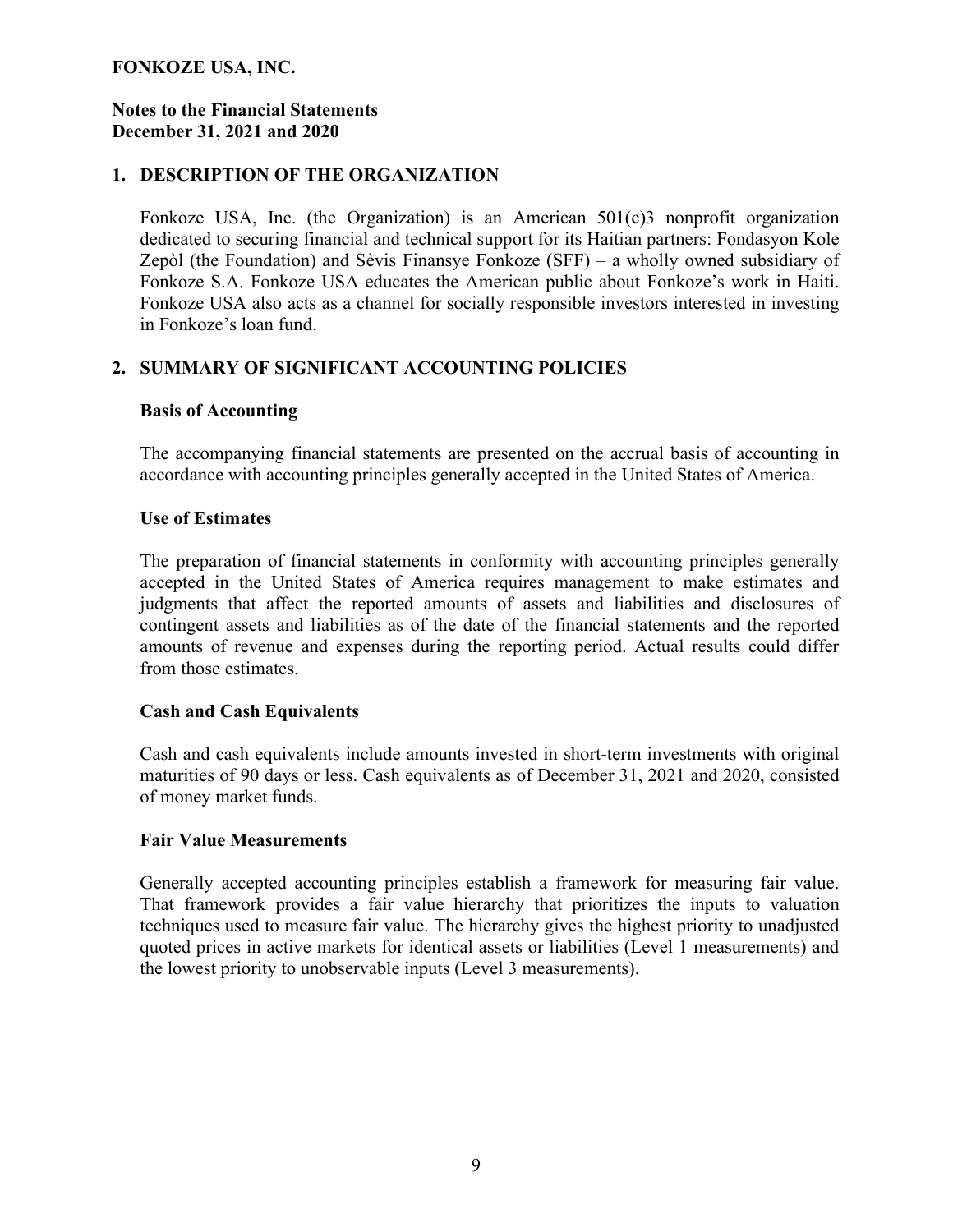#### Notes to the Financial Statements December 31, 2021 and 2020

### 1. DESCRIPTION OF THE ORGANIZATION

Fonkoze USA, Inc. (the Organization) is an American 501(c)3 nonprofit organization dedicated to securing financial and technical support for its Haitian partners: Fondasyon Kole Zepòl (the Foundation) and Sèvis Finansye Fonkoze (SFF) – a wholly owned subsidiary of Fonkoze S.A. Fonkoze USA educates the American public about Fonkoze's work in Haiti. Fonkoze USA also acts as a channel for socially responsible investors interested in investing in Fonkoze's loan fund.

### 2. SUMMARY OF SIGNIFICANT ACCOUNTING POLICIES

#### Basis of Accounting

The accompanying financial statements are presented on the accrual basis of accounting in accordance with accounting principles generally accepted in the United States of America.

#### Use of Estimates

The preparation of financial statements in conformity with accounting principles generally accepted in the United States of America requires management to make estimates and judgments that affect the reported amounts of assets and liabilities and disclosures of contingent assets and liabilities as of the date of the financial statements and the reported amounts of revenue and expenses during the reporting period. Actual results could differ from those estimates.

#### Cash and Cash Equivalents

Cash and cash equivalents include amounts invested in short-term investments with original maturities of 90 days or less. Cash equivalents as of December 31, 2021 and 2020, consisted of money market funds.

#### Fair Value Measurements

Generally accepted accounting principles establish a framework for measuring fair value. That framework provides a fair value hierarchy that prioritizes the inputs to valuation techniques used to measure fair value. The hierarchy gives the highest priority to unadjusted quoted prices in active markets for identical assets or liabilities (Level 1 measurements) and the lowest priority to unobservable inputs (Level 3 measurements).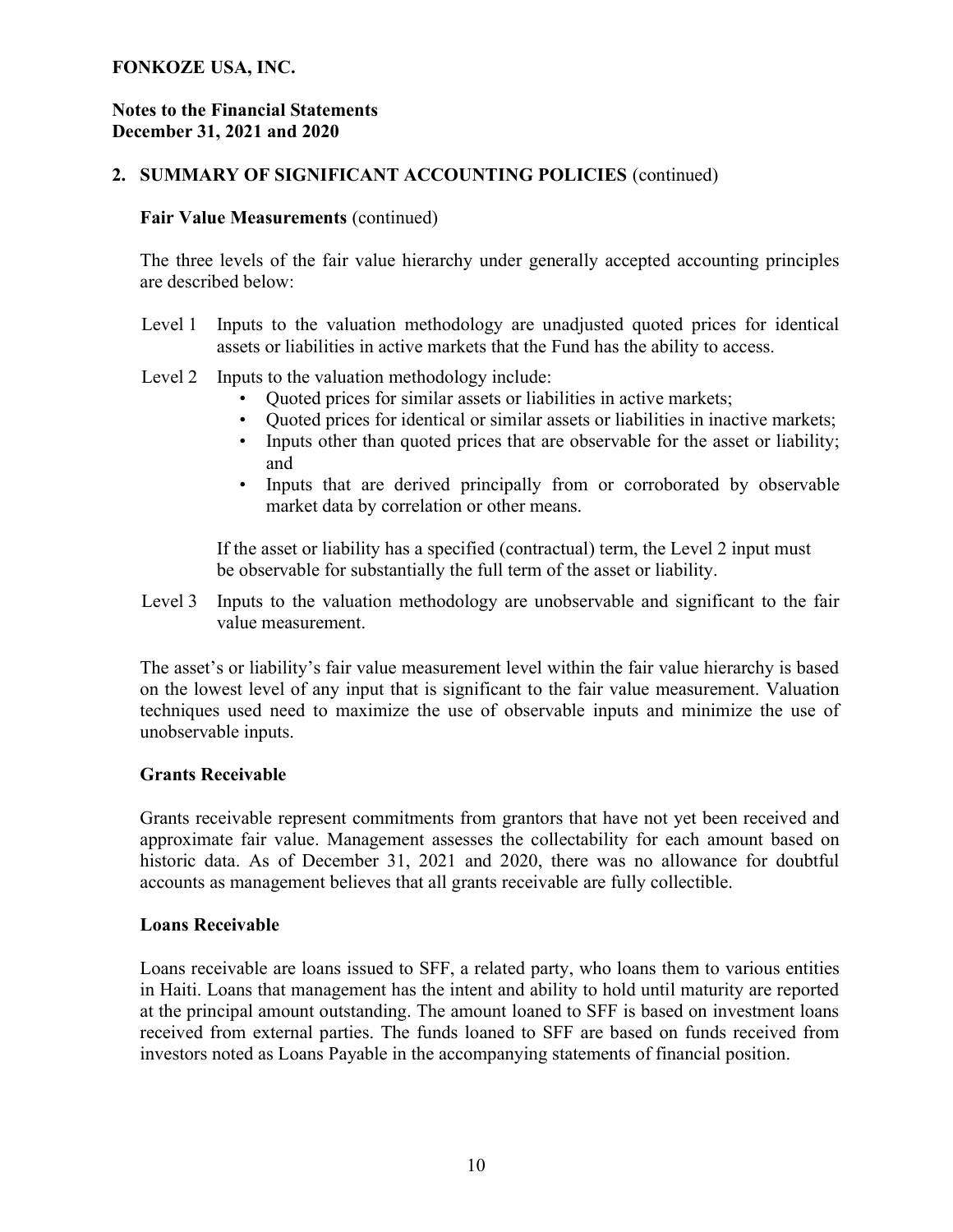#### Notes to the Financial Statements December 31, 2021 and 2020

## 2. SUMMARY OF SIGNIFICANT ACCOUNTING POLICIES (continued)

#### Fair Value Measurements (continued)

The three levels of the fair value hierarchy under generally accepted accounting principles are described below:

- Level 1 Inputs to the valuation methodology are unadjusted quoted prices for identical assets or liabilities in active markets that the Fund has the ability to access.
- Level 2 Inputs to the valuation methodology include:
	- Quoted prices for similar assets or liabilities in active markets;
	- Quoted prices for identical or similar assets or liabilities in inactive markets;
	- Inputs other than quoted prices that are observable for the asset or liability; and
	- Inputs that are derived principally from or corroborated by observable market data by correlation or other means.

If the asset or liability has a specified (contractual) term, the Level 2 input must be observable for substantially the full term of the asset or liability.

Level 3 Inputs to the valuation methodology are unobservable and significant to the fair value measurement.

The asset's or liability's fair value measurement level within the fair value hierarchy is based on the lowest level of any input that is significant to the fair value measurement. Valuation techniques used need to maximize the use of observable inputs and minimize the use of unobservable inputs.

#### Grants Receivable

Grants receivable represent commitments from grantors that have not yet been received and approximate fair value. Management assesses the collectability for each amount based on historic data. As of December 31, 2021 and 2020, there was no allowance for doubtful accounts as management believes that all grants receivable are fully collectible.

#### Loans Receivable

Loans receivable are loans issued to SFF, a related party, who loans them to various entities in Haiti. Loans that management has the intent and ability to hold until maturity are reported at the principal amount outstanding. The amount loaned to SFF is based on investment loans received from external parties. The funds loaned to SFF are based on funds received from investors noted as Loans Payable in the accompanying statements of financial position.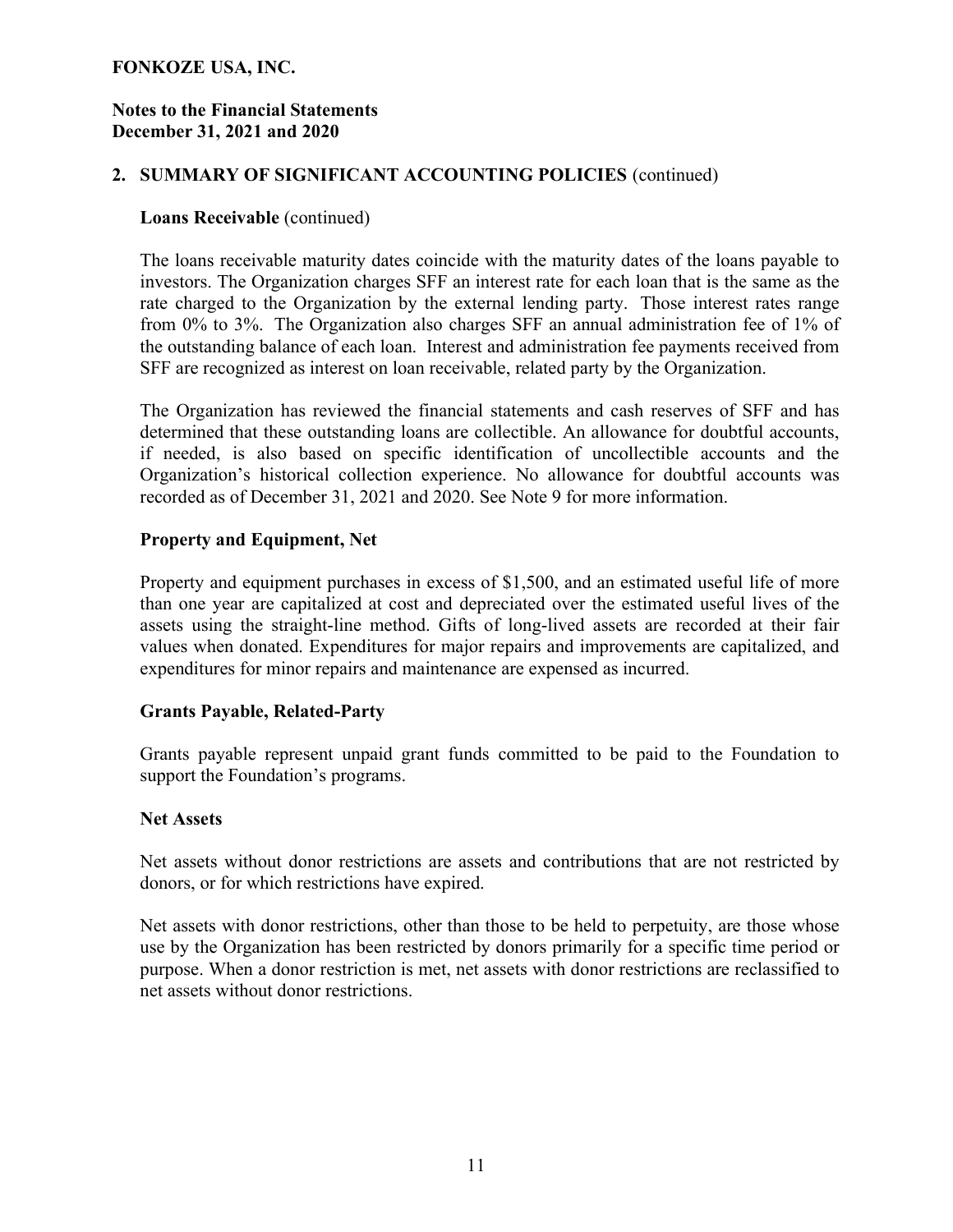#### Notes to the Financial Statements December 31, 2021 and 2020

### 2. SUMMARY OF SIGNIFICANT ACCOUNTING POLICIES (continued)

#### Loans Receivable (continued)

The loans receivable maturity dates coincide with the maturity dates of the loans payable to investors. The Organization charges SFF an interest rate for each loan that is the same as the rate charged to the Organization by the external lending party. Those interest rates range from 0% to 3%. The Organization also charges SFF an annual administration fee of 1% of the outstanding balance of each loan. Interest and administration fee payments received from SFF are recognized as interest on loan receivable, related party by the Organization.

The Organization has reviewed the financial statements and cash reserves of SFF and has determined that these outstanding loans are collectible. An allowance for doubtful accounts, if needed, is also based on specific identification of uncollectible accounts and the Organization's historical collection experience. No allowance for doubtful accounts was recorded as of December 31, 2021 and 2020. See Note 9 for more information.

### Property and Equipment, Net

Property and equipment purchases in excess of \$1,500, and an estimated useful life of more than one year are capitalized at cost and depreciated over the estimated useful lives of the assets using the straight-line method. Gifts of long-lived assets are recorded at their fair values when donated. Expenditures for major repairs and improvements are capitalized, and expenditures for minor repairs and maintenance are expensed as incurred.

## Grants Payable, Related-Party

Grants payable represent unpaid grant funds committed to be paid to the Foundation to support the Foundation's programs.

#### Net Assets

Net assets without donor restrictions are assets and contributions that are not restricted by donors, or for which restrictions have expired.

Net assets with donor restrictions, other than those to be held to perpetuity, are those whose use by the Organization has been restricted by donors primarily for a specific time period or purpose. When a donor restriction is met, net assets with donor restrictions are reclassified to net assets without donor restrictions.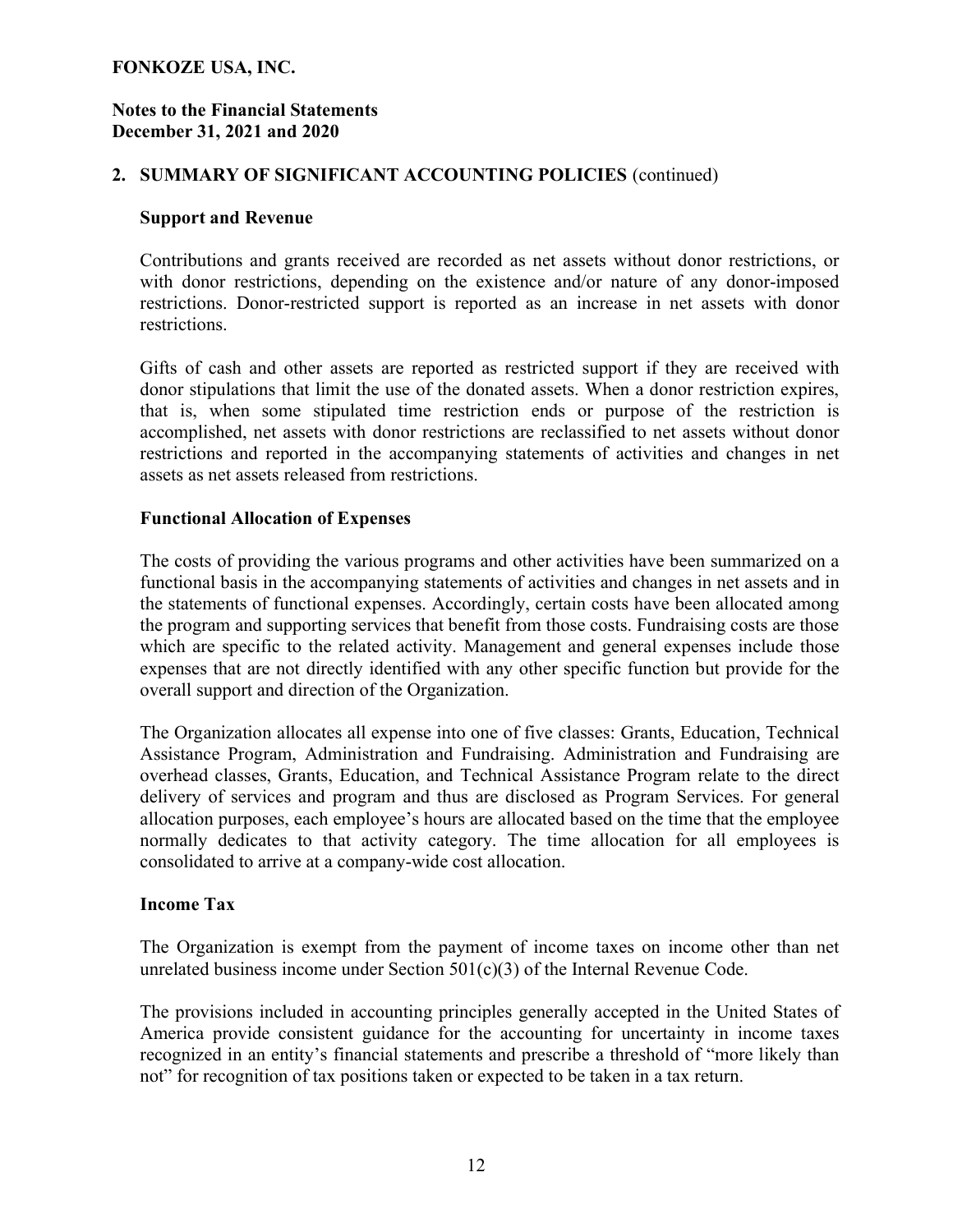#### Notes to the Financial Statements December 31, 2021 and 2020

## 2. SUMMARY OF SIGNIFICANT ACCOUNTING POLICIES (continued)

#### Support and Revenue

Contributions and grants received are recorded as net assets without donor restrictions, or with donor restrictions, depending on the existence and/or nature of any donor-imposed restrictions. Donor-restricted support is reported as an increase in net assets with donor restrictions.

Gifts of cash and other assets are reported as restricted support if they are received with donor stipulations that limit the use of the donated assets. When a donor restriction expires, that is, when some stipulated time restriction ends or purpose of the restriction is accomplished, net assets with donor restrictions are reclassified to net assets without donor restrictions and reported in the accompanying statements of activities and changes in net assets as net assets released from restrictions.

#### Functional Allocation of Expenses

The costs of providing the various programs and other activities have been summarized on a functional basis in the accompanying statements of activities and changes in net assets and in the statements of functional expenses. Accordingly, certain costs have been allocated among the program and supporting services that benefit from those costs. Fundraising costs are those which are specific to the related activity. Management and general expenses include those expenses that are not directly identified with any other specific function but provide for the overall support and direction of the Organization.

The Organization allocates all expense into one of five classes: Grants, Education, Technical Assistance Program, Administration and Fundraising. Administration and Fundraising are overhead classes, Grants, Education, and Technical Assistance Program relate to the direct delivery of services and program and thus are disclosed as Program Services. For general allocation purposes, each employee's hours are allocated based on the time that the employee normally dedicates to that activity category. The time allocation for all employees is consolidated to arrive at a company-wide cost allocation.

#### Income Tax

The Organization is exempt from the payment of income taxes on income other than net unrelated business income under Section  $501(c)(3)$  of the Internal Revenue Code.

The provisions included in accounting principles generally accepted in the United States of America provide consistent guidance for the accounting for uncertainty in income taxes recognized in an entity's financial statements and prescribe a threshold of "more likely than not" for recognition of tax positions taken or expected to be taken in a tax return.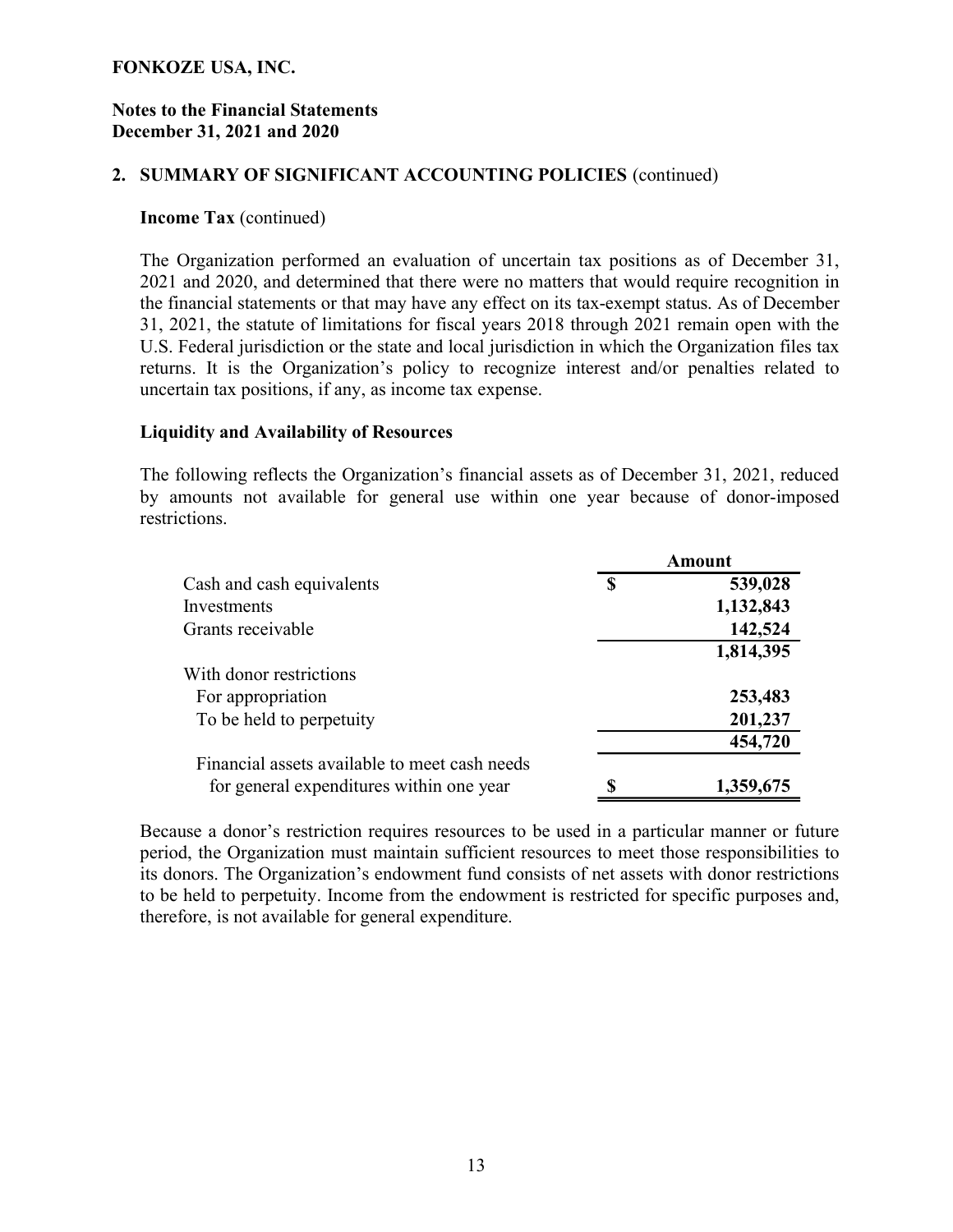#### Notes to the Financial Statements December 31, 2021 and 2020

#### 2. SUMMARY OF SIGNIFICANT ACCOUNTING POLICIES (continued)

#### Income Tax (continued)

The Organization performed an evaluation of uncertain tax positions as of December 31, 2021 and 2020, and determined that there were no matters that would require recognition in the financial statements or that may have any effect on its tax-exempt status. As of December 31, 2021, the statute of limitations for fiscal years 2018 through 2021 remain open with the U.S. Federal jurisdiction or the state and local jurisdiction in which the Organization files tax returns. It is the Organization's policy to recognize interest and/or penalties related to uncertain tax positions, if any, as income tax expense.

#### Liquidity and Availability of Resources

The following reflects the Organization's financial assets as of December 31, 2021, reduced by amounts not available for general use within one year because of donor-imposed restrictions.

|                                               |   | Amount    |
|-----------------------------------------------|---|-----------|
| Cash and cash equivalents                     | S | 539,028   |
| Investments                                   |   | 1,132,843 |
| Grants receivable                             |   | 142,524   |
|                                               |   | 1,814,395 |
| With donor restrictions                       |   |           |
| For appropriation                             |   | 253,483   |
| To be held to perpetuity                      |   | 201,237   |
|                                               |   | 454,720   |
| Financial assets available to meet cash needs |   |           |
| for general expenditures within one year      |   | 1,359,675 |

Because a donor's restriction requires resources to be used in a particular manner or future period, the Organization must maintain sufficient resources to meet those responsibilities to its donors. The Organization's endowment fund consists of net assets with donor restrictions to be held to perpetuity. Income from the endowment is restricted for specific purposes and, therefore, is not available for general expenditure.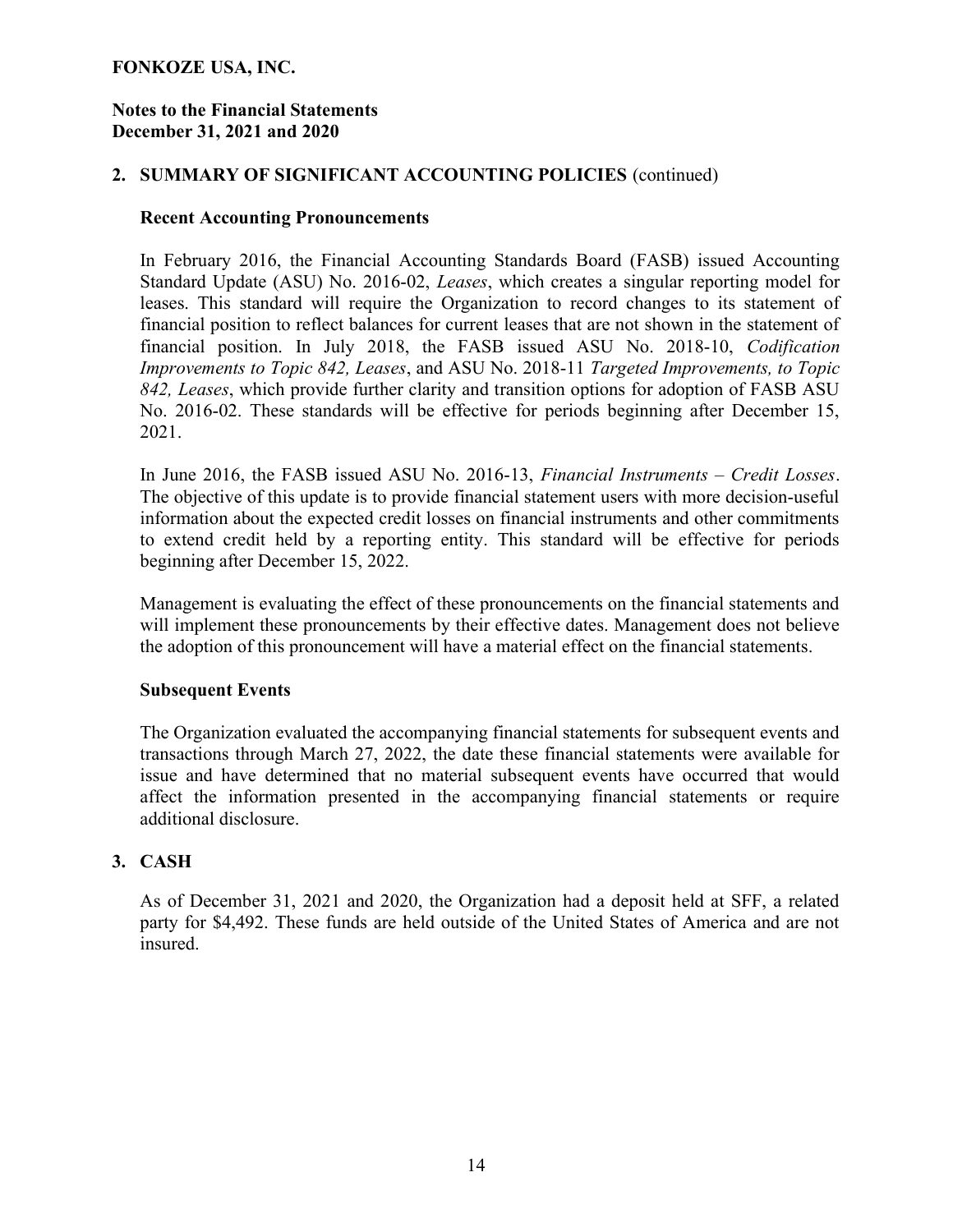#### Notes to the Financial Statements December 31, 2021 and 2020

#### 2. SUMMARY OF SIGNIFICANT ACCOUNTING POLICIES (continued)

#### Recent Accounting Pronouncements

In February 2016, the Financial Accounting Standards Board (FASB) issued Accounting Standard Update (ASU) No. 2016-02, Leases, which creates a singular reporting model for leases. This standard will require the Organization to record changes to its statement of financial position to reflect balances for current leases that are not shown in the statement of financial position. In July 2018, the FASB issued ASU No. 2018-10, Codification Improvements to Topic 842, Leases, and ASU No. 2018-11 Targeted Improvements, to Topic 842, Leases, which provide further clarity and transition options for adoption of FASB ASU No. 2016-02. These standards will be effective for periods beginning after December 15, 2021.

In June 2016, the FASB issued ASU No. 2016-13, *Financial Instruments – Credit Losses*. The objective of this update is to provide financial statement users with more decision-useful information about the expected credit losses on financial instruments and other commitments to extend credit held by a reporting entity. This standard will be effective for periods beginning after December 15, 2022.

Management is evaluating the effect of these pronouncements on the financial statements and will implement these pronouncements by their effective dates. Management does not believe the adoption of this pronouncement will have a material effect on the financial statements.

#### Subsequent Events

The Organization evaluated the accompanying financial statements for subsequent events and transactions through March 27, 2022, the date these financial statements were available for issue and have determined that no material subsequent events have occurred that would affect the information presented in the accompanying financial statements or require additional disclosure.

#### 3. CASH

As of December 31, 2021 and 2020, the Organization had a deposit held at SFF, a related party for \$4,492. These funds are held outside of the United States of America and are not insured.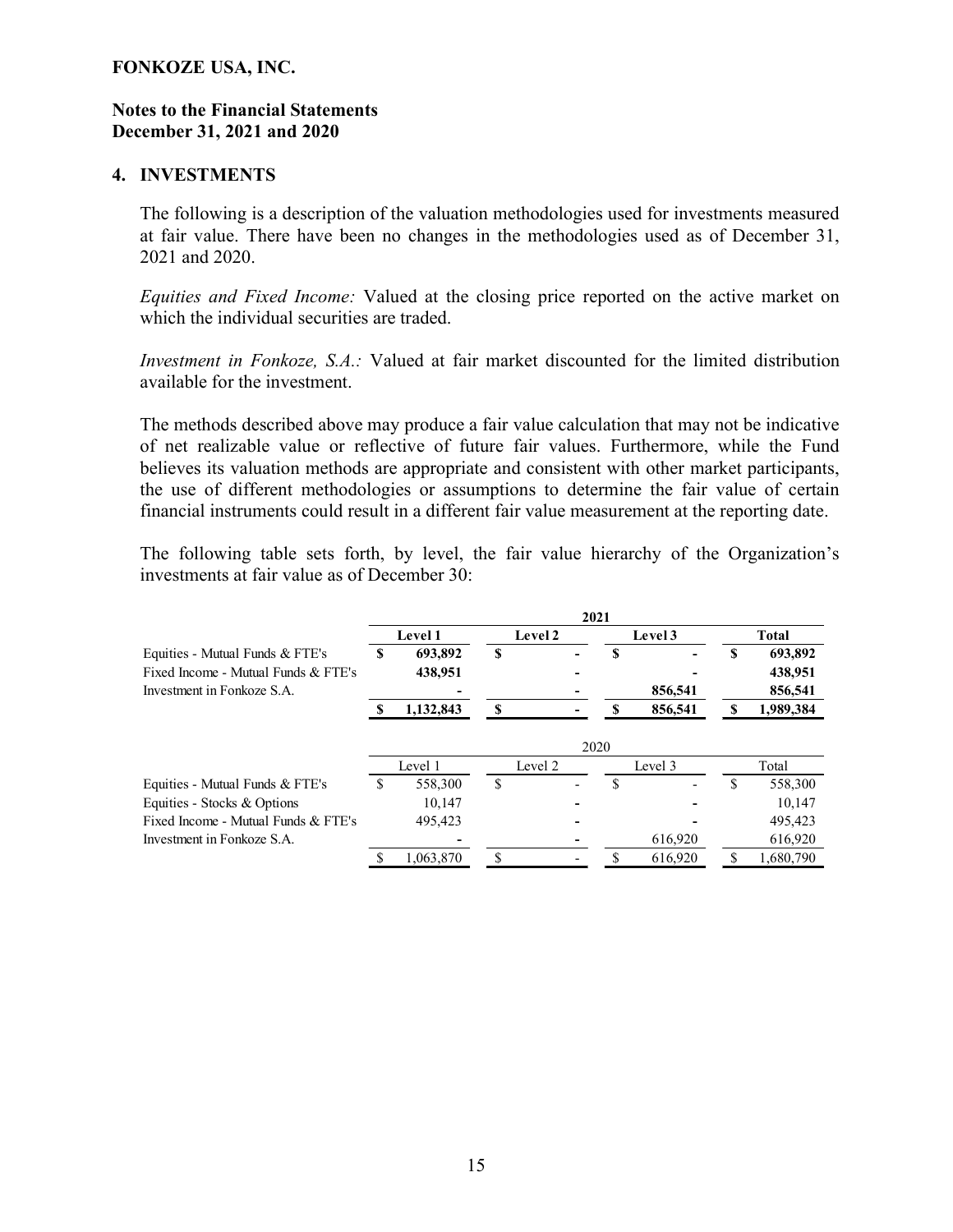#### Notes to the Financial Statements December 31, 2021 and 2020

#### 4. INVESTMENTS

The following is a description of the valuation methodologies used for investments measured at fair value. There have been no changes in the methodologies used as of December 31, 2021 and 2020.

Equities and Fixed Income: Valued at the closing price reported on the active market on which the individual securities are traded.

Investment in Fonkoze, S.A.: Valued at fair market discounted for the limited distribution available for the investment.

The methods described above may produce a fair value calculation that may not be indicative of net realizable value or reflective of future fair values. Furthermore, while the Fund believes its valuation methods are appropriate and consistent with other market participants, the use of different methodologies or assumptions to determine the fair value of certain financial instruments could result in a different fair value measurement at the reporting date.

The following table sets forth, by level, the fair value hierarchy of the Organization's investments at fair value as of December 30:

| 2021 |                |         |  |                    |         |                    |              |
|------|----------------|---------|--|--------------------|---------|--------------------|--------------|
|      | <b>Level 1</b> |         |  |                    |         |                    | <b>Total</b> |
| S    | 693,892        | S       |  | S                  |         | S                  | 693,892      |
|      | 438,951        |         |  |                    |         |                    | 438,951      |
|      |                |         |  |                    | 856,541 |                    | 856,541      |
|      | 1,132,843      | S       |  |                    | 856,541 |                    | 1,989,384    |
|      | Level 1        |         |  |                    |         |                    | Total        |
|      |                | S       |  | S                  | ٠       | £.                 | 558,300      |
|      | 10,147         |         |  |                    |         |                    | 10,147       |
|      | 495.423        |         |  |                    |         |                    | 495.423      |
|      |                |         |  |                    | 616,920 |                    | 616,920      |
|      | 1,063,870      | ¢       |  |                    | 616,920 |                    | 1,680,790    |
|      |                | 558,300 |  | Level 2<br>Level 2 | 2020    | Level 3<br>Level 3 |              |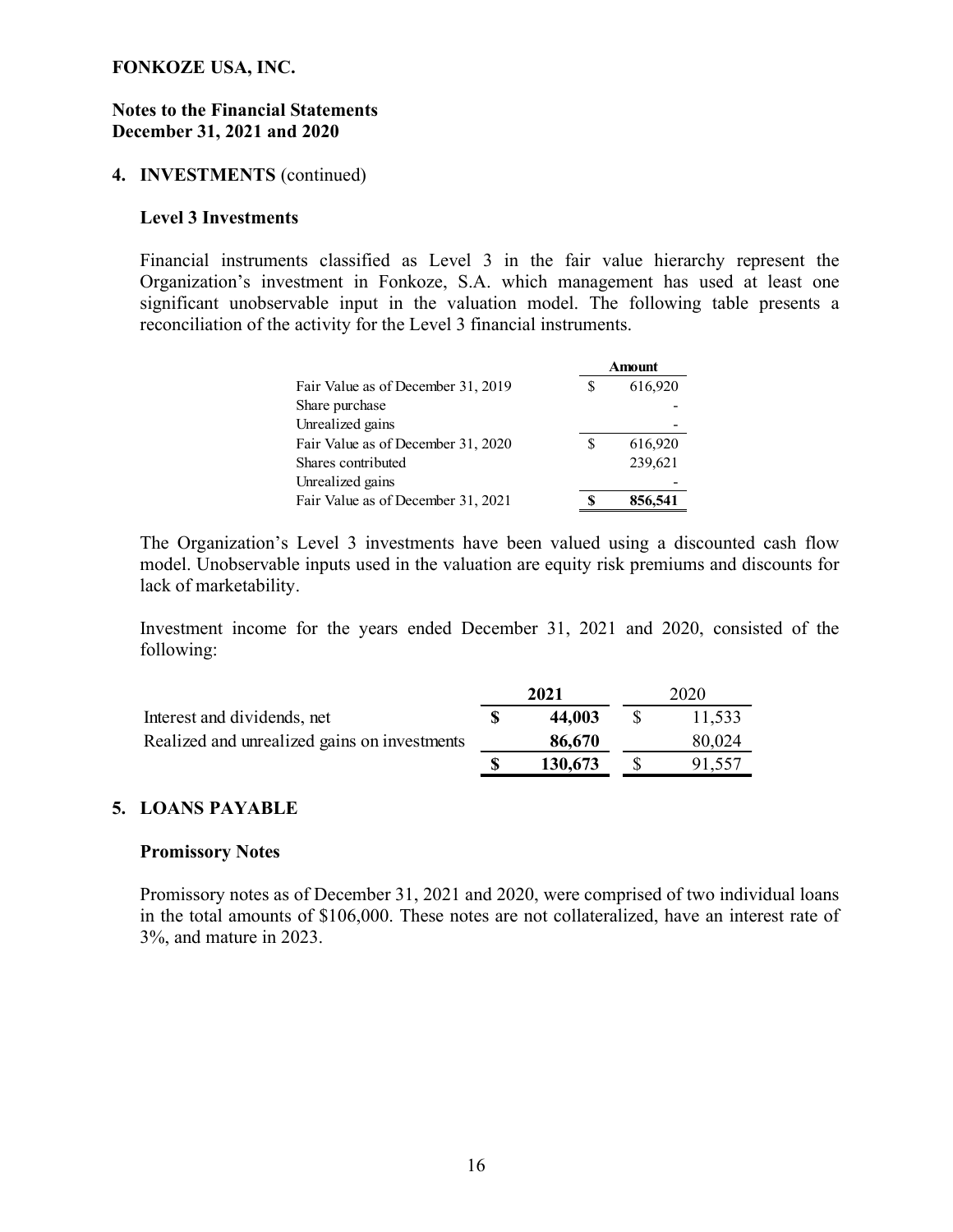#### Notes to the Financial Statements December 31, 2021 and 2020

#### 4. INVESTMENTS (continued)

#### Level 3 Investments

Financial instruments classified as Level 3 in the fair value hierarchy represent the Organization's investment in Fonkoze, S.A. which management has used at least one significant unobservable input in the valuation model. The following table presents a reconciliation of the activity for the Level 3 financial instruments.

| <b>Statements</b><br>d 2020                                                                                                                                                              |                    |  |
|------------------------------------------------------------------------------------------------------------------------------------------------------------------------------------------|--------------------|--|
| continued)                                                                                                                                                                               |                    |  |
| S                                                                                                                                                                                        |                    |  |
| nts classified as Level 3 in the fair value hierarchy represent the                                                                                                                      |                    |  |
| estment in Fonkoze, S.A. which management has used at least one<br>vable input in the valuation model. The following table presents a<br>activity for the Level 3 financial instruments. |                    |  |
|                                                                                                                                                                                          | <b>Amount</b>      |  |
| Fair Value as of December 31, 2019<br>Share purchase                                                                                                                                     | \$<br>616,920      |  |
| Unrealized gains                                                                                                                                                                         | $\mathcal{S}$      |  |
| Fair Value as of December 31, 2020<br>Shares contributed                                                                                                                                 | 616,920<br>239,621 |  |
| Unrealized gains                                                                                                                                                                         |                    |  |

The Organization's Level 3 investments have been valued using a discounted cash flow model. Unobservable inputs used in the valuation are equity risk premiums and discounts for lack of marketability.

Investment income for the years ended December 31, 2021 and 2020, consisted of the following:

|                                              | 2021    | 2020   |
|----------------------------------------------|---------|--------|
| Interest and dividends, net                  | 44,003  | 11,533 |
| Realized and unrealized gains on investments | 86,670  | 80,024 |
|                                              | 130,673 | 91,557 |

#### 5. LOANS PAYABLE

#### Promissory Notes

Promissory notes as of December 31, 2021 and 2020, were comprised of two individual loans in the total amounts of \$106,000. These notes are not collateralized, have an interest rate of 3%, and mature in 2023.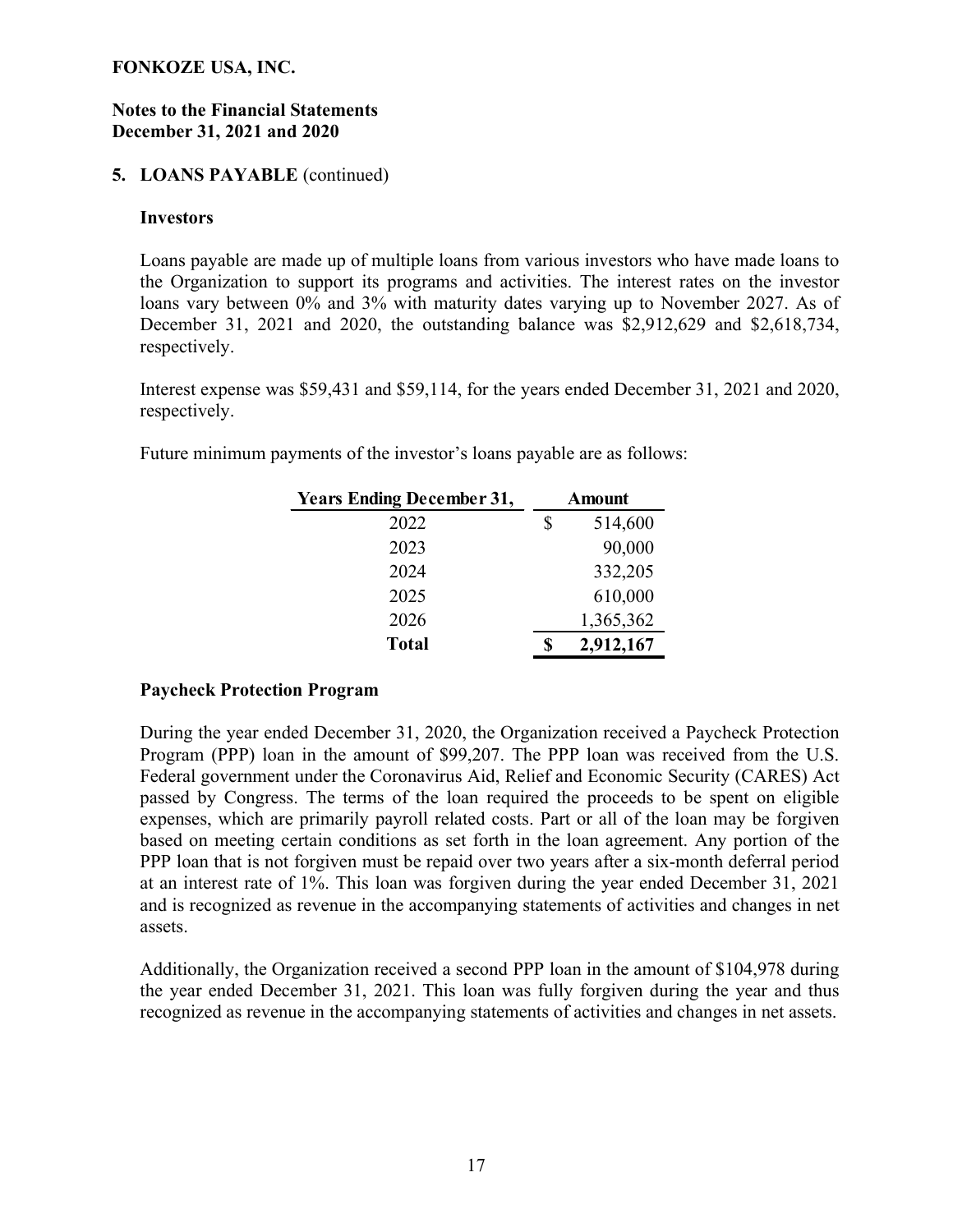#### Notes to the Financial Statements December 31, 2021 and 2020

### 5. LOANS PAYABLE (continued)

#### Investors

Loans payable are made up of multiple loans from various investors who have made loans to the Organization to support its programs and activities. The interest rates on the investor loans vary between 0% and 3% with maturity dates varying up to November 2027. As of December 31, 2021 and 2020, the outstanding balance was \$2,912,629 and \$2,618,734, respectively.

Interest expense was \$59,431 and \$59,114, for the years ended December 31, 2021 and 2020, respectively.

Future minimum payments of the investor's loans payable are as follows:

| <b>Years Ending December 31,</b> | <b>Amount</b> |           |  |
|----------------------------------|---------------|-----------|--|
| 2022                             | \$            | 514,600   |  |
| 2023                             |               | 90,000    |  |
| 2024                             |               | 332,205   |  |
| 2025                             |               | 610,000   |  |
| 2026                             |               | 1,365,362 |  |
| <b>Total</b>                     |               | 2,912,167 |  |

#### Paycheck Protection Program

During the year ended December 31, 2020, the Organization received a Paycheck Protection Program (PPP) loan in the amount of \$99,207. The PPP loan was received from the U.S. Federal government under the Coronavirus Aid, Relief and Economic Security (CARES) Act passed by Congress. The terms of the loan required the proceeds to be spent on eligible expenses, which are primarily payroll related costs. Part or all of the loan may be forgiven based on meeting certain conditions as set forth in the loan agreement. Any portion of the PPP loan that is not forgiven must be repaid over two years after a six-month deferral period at an interest rate of 1%. This loan was forgiven during the year ended December 31, 2021 and is recognized as revenue in the accompanying statements of activities and changes in net assets.

Additionally, the Organization received a second PPP loan in the amount of \$104,978 during the year ended December 31, 2021. This loan was fully forgiven during the year and thus recognized as revenue in the accompanying statements of activities and changes in net assets.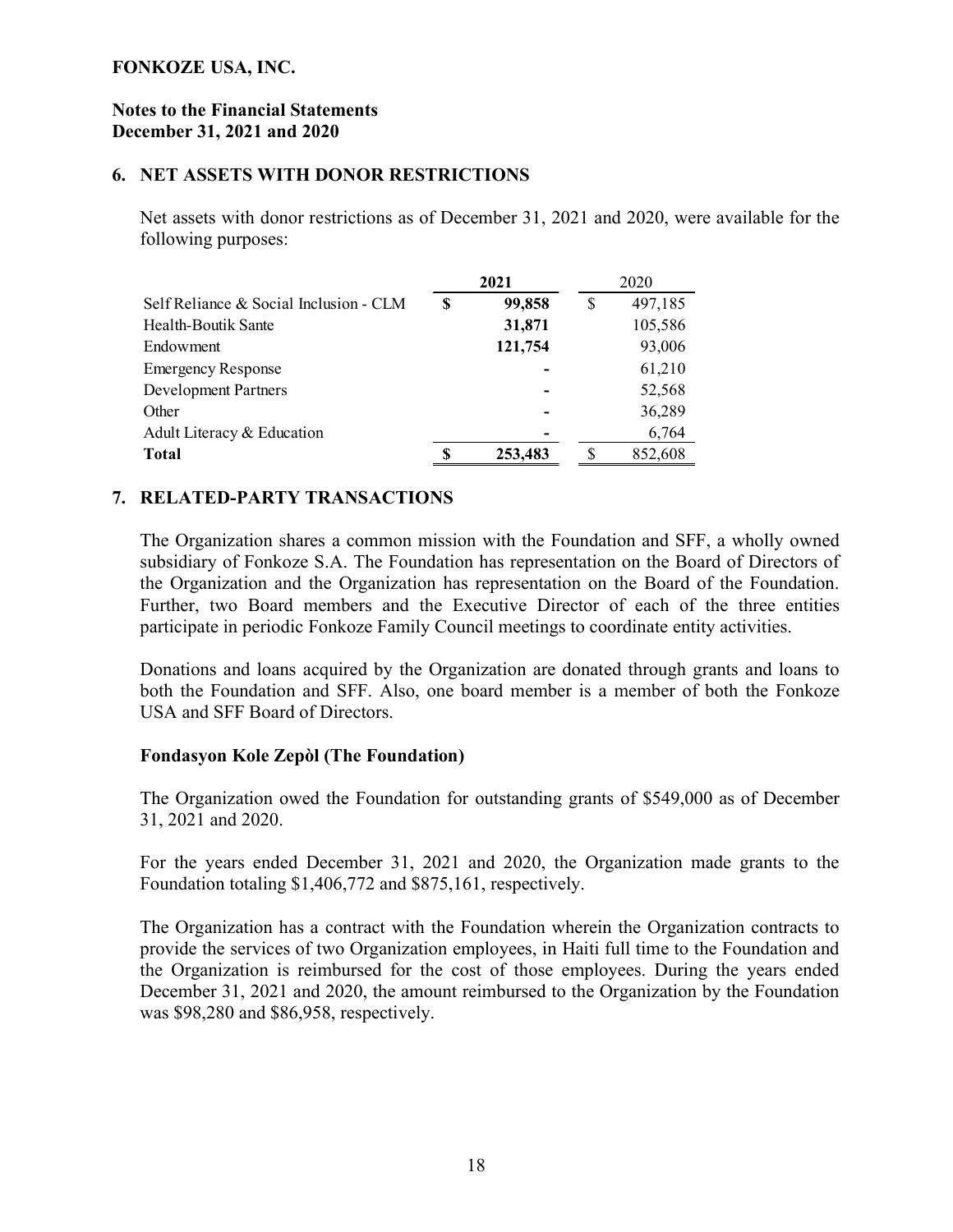#### Notes to the Financial Statements December 31, 2021 and 2020

#### 6. NET ASSETS WITH DONOR RESTRICTIONS

Net assets with donor restrictions as of December 31, 2021 and 2020, were available for the following purposes:

|                                        |   | 2021    | 2020 |         |  |
|----------------------------------------|---|---------|------|---------|--|
| Self Reliance & Social Inclusion - CLM |   | 99,858  | S    | 497,185 |  |
| Health-Boutik Sante                    |   | 31,871  |      | 105,586 |  |
| Endowment                              |   | 121,754 |      | 93,006  |  |
| <b>Emergency Response</b>              |   |         |      | 61,210  |  |
| <b>Development Partners</b>            |   |         |      | 52,568  |  |
| Other                                  |   |         |      | 36,289  |  |
| Adult Literacy & Education             |   |         |      | 6,764   |  |
| <b>Total</b>                           | S | 253,483 | S    | 852,608 |  |

#### 7. RELATED-PARTY TRANSACTIONS

The Organization shares a common mission with the Foundation and SFF, a wholly owned subsidiary of Fonkoze S.A. The Foundation has representation on the Board of Directors of the Organization and the Organization has representation on the Board of the Foundation. Further, two Board members and the Executive Director of each of the three entities participate in periodic Fonkoze Family Council meetings to coordinate entity activities.

Donations and loans acquired by the Organization are donated through grants and loans to both the Foundation and SFF. Also, one board member is a member of both the Fonkoze USA and SFF Board of Directors.

#### Fondasyon Kole Zepòl (The Foundation)

The Organization owed the Foundation for outstanding grants of \$549,000 as of December 31, 2021 and 2020.

For the years ended December 31, 2021 and 2020, the Organization made grants to the Foundation totaling \$1,406,772 and \$875,161, respectively.

The Organization has a contract with the Foundation wherein the Organization contracts to provide the services of two Organization employees, in Haiti full time to the Foundation and the Organization is reimbursed for the cost of those employees. During the years ended December 31, 2021 and 2020, the amount reimbursed to the Organization by the Foundation was \$98,280 and \$86,958, respectively.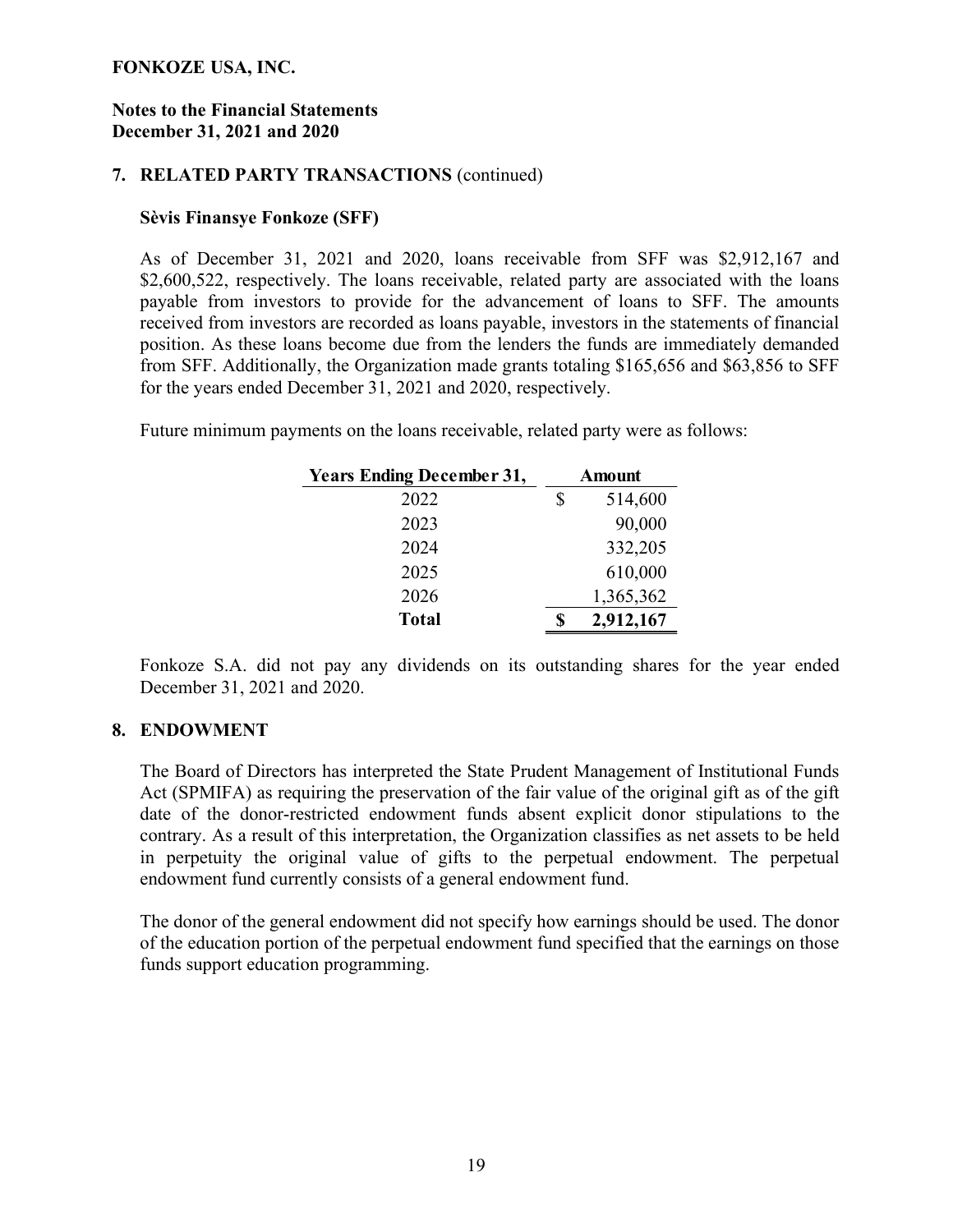#### Notes to the Financial Statements December 31, 2021 and 2020

#### 7. RELATED PARTY TRANSACTIONS (continued)

#### Sèvis Finansye Fonkoze (SFF)

As of December 31, 2021 and 2020, loans receivable from SFF was \$2,912,167 and \$2,600,522, respectively. The loans receivable, related party are associated with the loans payable from investors to provide for the advancement of loans to SFF. The amounts received from investors are recorded as loans payable, investors in the statements of financial position. As these loans become due from the lenders the funds are immediately demanded from SFF. Additionally, the Organization made grants totaling \$165,656 and \$63,856 to SFF for the years ended December 31, 2021 and 2020, respectively.

Future minimum payments on the loans receivable, related party were as follows:

| <b>Years Ending December 31,</b> | Amount |           |  |
|----------------------------------|--------|-----------|--|
| 2022                             | \$     | 514,600   |  |
| 2023                             |        | 90,000    |  |
| 2024                             |        | 332,205   |  |
| 2025                             |        | 610,000   |  |
| 2026                             |        | 1,365,362 |  |
| <b>Total</b>                     |        | 2,912,167 |  |

Fonkoze S.A. did not pay any dividends on its outstanding shares for the year ended December 31, 2021 and 2020.

#### 8. ENDOWMENT

The Board of Directors has interpreted the State Prudent Management of Institutional Funds Act (SPMIFA) as requiring the preservation of the fair value of the original gift as of the gift date of the donor-restricted endowment funds absent explicit donor stipulations to the contrary. As a result of this interpretation, the Organization classifies as net assets to be held in perpetuity the original value of gifts to the perpetual endowment. The perpetual endowment fund currently consists of a general endowment fund.

The donor of the general endowment did not specify how earnings should be used. The donor of the education portion of the perpetual endowment fund specified that the earnings on those funds support education programming.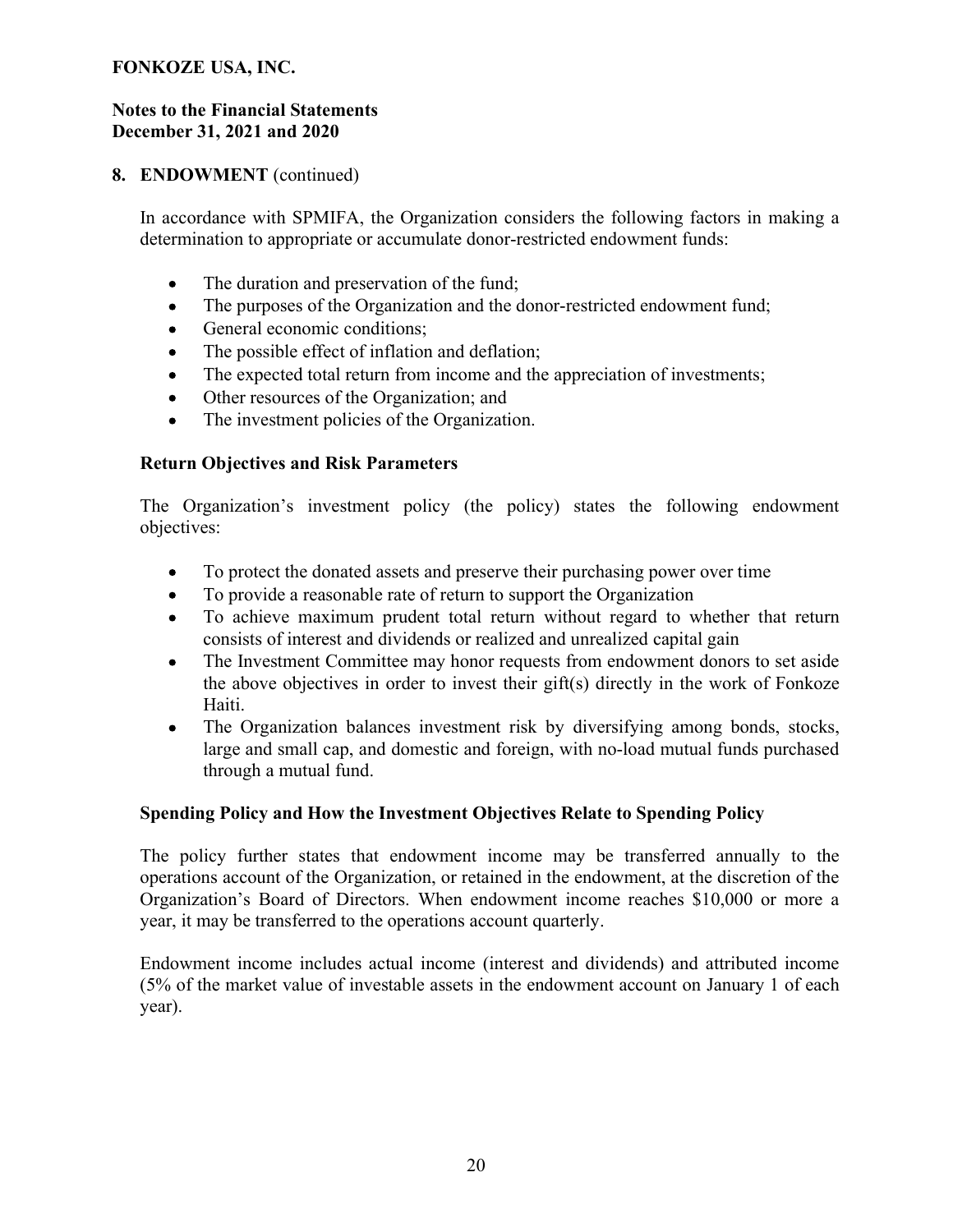#### Notes to the Financial Statements December 31, 2021 and 2020

## 8. ENDOWMENT (continued)

In accordance with SPMIFA, the Organization considers the following factors in making a determination to appropriate or accumulate donor-restricted endowment funds:

- The duration and preservation of the fund;
- $\bullet$ The purposes of the Organization and the donor-restricted endowment fund;
- General economic conditions;
- The possible effect of inflation and deflation;  $\bullet$
- $\bullet$ The expected total return from income and the appreciation of investments;
- Other resources of the Organization; and  $\bullet$
- The investment policies of the Organization.

#### Return Objectives and Risk Parameters

The Organization's investment policy (the policy) states the following endowment objectives:

- $\bullet$ To protect the donated assets and preserve their purchasing power over time
- To provide a reasonable rate of return to support the Organization  $\bullet$
- To achieve maximum prudent total return without regard to whether that return  $\bullet$ consists of interest and dividends or realized and unrealized capital gain
- The Investment Committee may honor requests from endowment donors to set aside  $\bullet$ the above objectives in order to invest their gift(s) directly in the work of Fonkoze Haiti.
- The Organization balances investment risk by diversifying among bonds, stocks,  $\bullet$ large and small cap, and domestic and foreign, with no-load mutual funds purchased through a mutual fund.

#### Spending Policy and How the Investment Objectives Relate to Spending Policy

The policy further states that endowment income may be transferred annually to the operations account of the Organization, or retained in the endowment, at the discretion of the Organization's Board of Directors. When endowment income reaches \$10,000 or more a year, it may be transferred to the operations account quarterly.

Endowment income includes actual income (interest and dividends) and attributed income (5% of the market value of investable assets in the endowment account on January 1 of each year).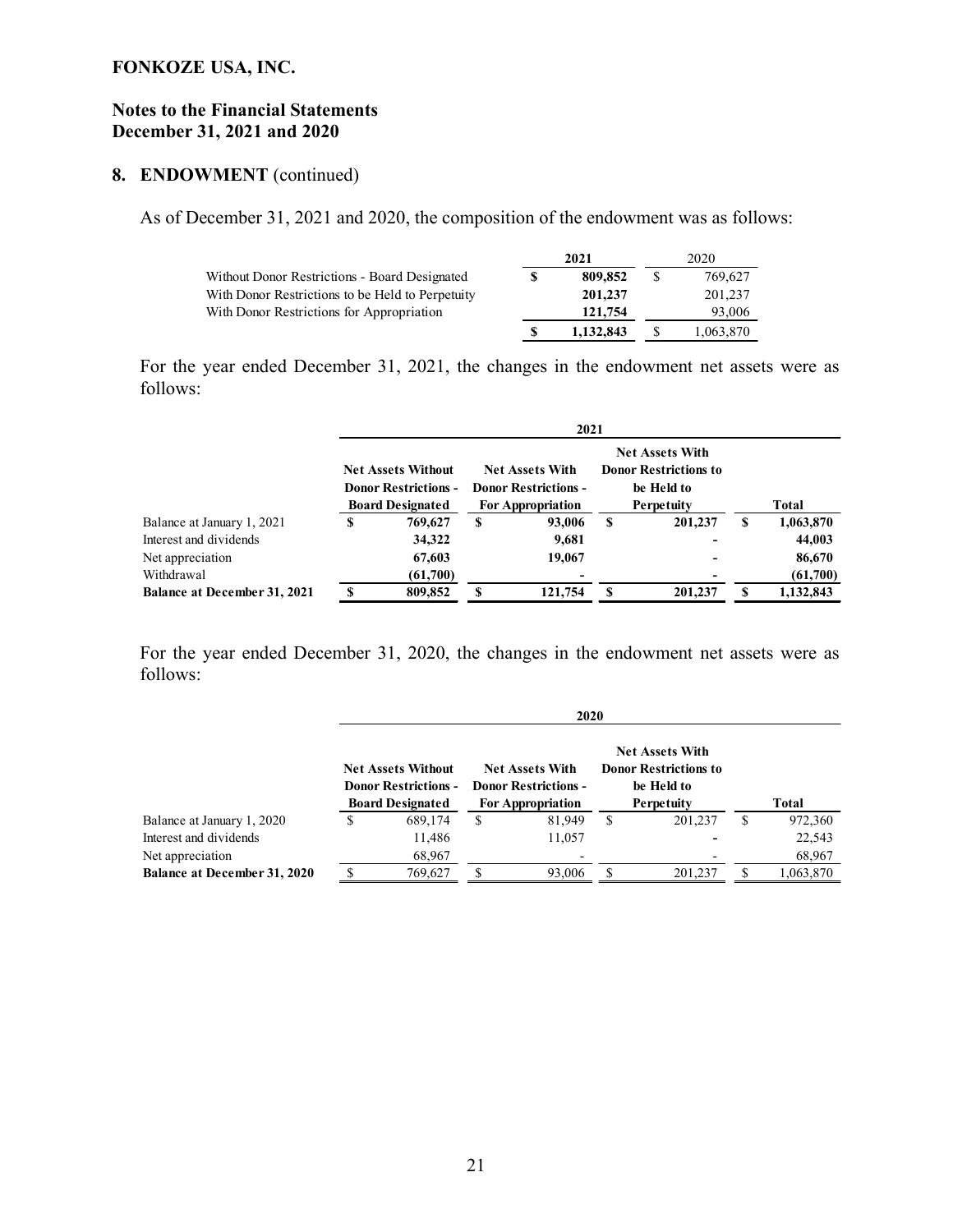#### Notes to the Financial Statements December 31, 2021 and 2020

## 8. ENDOWMENT (continued)

As of December 31, 2021 and 2020, the composition of the endowment was as follows:

|                                                  | 2021 |           | 2020 |           |
|--------------------------------------------------|------|-----------|------|-----------|
| Without Donor Restrictions - Board Designated    |      | 809,852   |      | 769,627   |
| With Donor Restrictions to be Held to Perpetuity |      | 201.237   |      | 201,237   |
| With Donor Restrictions for Appropriation        |      | 121.754   |      | 93,006    |
|                                                  |      | 1.132.843 |      | 1,063,870 |

For the year ended December 31, 2021, the changes in the endowment net assets were as follows:

|                                     | 2021                                                                                |          |                                                                                   |         |                                                                                    |         |       |           |  |
|-------------------------------------|-------------------------------------------------------------------------------------|----------|-----------------------------------------------------------------------------------|---------|------------------------------------------------------------------------------------|---------|-------|-----------|--|
|                                     | <b>Net Assets Without</b><br><b>Donor Restrictions -</b><br><b>Board Designated</b> |          | <b>Net Assets With</b><br><b>Donor Restrictions -</b><br><b>For Appropriation</b> |         | <b>Net Assets With</b><br><b>Donor Restrictions to</b><br>be Held to<br>Perpetuity |         | Total |           |  |
| Balance at January 1, 2021          | 769.627<br>S                                                                        |          | S                                                                                 | 93,006  | S                                                                                  | 201,237 | S     | 1,063,870 |  |
| Interest and dividends              |                                                                                     | 34,322   |                                                                                   | 9,681   |                                                                                    |         |       | 44,003    |  |
| Net appreciation                    |                                                                                     | 67,603   |                                                                                   | 19,067  |                                                                                    |         |       | 86,670    |  |
| Withdrawal                          |                                                                                     | (61,700) |                                                                                   |         |                                                                                    |         |       | (61,700)  |  |
| <b>Balance at December 31, 2021</b> | ¢                                                                                   | 809,852  | S                                                                                 | 121,754 | S                                                                                  | 201,237 | S     | 1,132,843 |  |

For the year ended December 31, 2020, the changes in the endowment net assets were as follows:

|                                     | 2020                                                                                |         |    |                                                                                   |                                                                                    |         |       |           |
|-------------------------------------|-------------------------------------------------------------------------------------|---------|----|-----------------------------------------------------------------------------------|------------------------------------------------------------------------------------|---------|-------|-----------|
|                                     | <b>Net Assets Without</b><br><b>Donor Restrictions -</b><br><b>Board Designated</b> |         |    | <b>Net Assets With</b><br><b>Donor Restrictions -</b><br><b>For Appropriation</b> | <b>Net Assets With</b><br><b>Donor Restrictions to</b><br>be Held to<br>Perpetuity |         | Total |           |
| Balance at January 1, 2020          | S                                                                                   | 689,174 | \$ | 81,949                                                                            | \$                                                                                 | 201,237 | S     | 972,360   |
| Interest and dividends              |                                                                                     | 11,486  |    | 11,057                                                                            |                                                                                    |         |       | 22,543    |
| Net appreciation                    |                                                                                     | 68,967  |    |                                                                                   |                                                                                    |         |       | 68,967    |
| <b>Balance at December 31, 2020</b> | ¢                                                                                   | 769.627 |    | 93,006                                                                            | S                                                                                  | 201,237 |       | 1,063,870 |